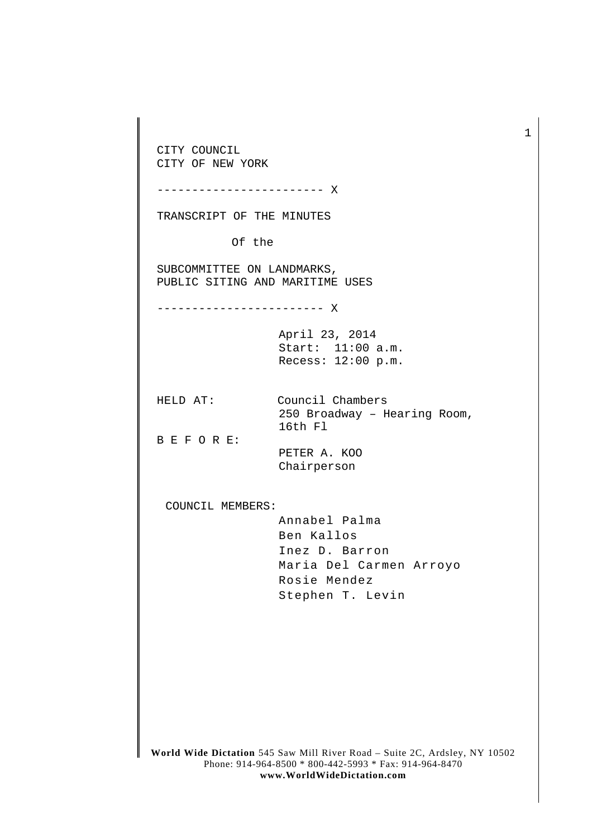CITY COUNCIL CITY OF NEW YORK ------------------------ X TRANSCRIPT OF THE MINUTES Of the SUBCOMMITTEE ON LANDMARKS, PUBLIC SITING AND MARITIME USES ------------------------ X April 23, 2014 Start: 11:00 a.m. Recess: 12:00 p.m. HELD AT: Council Chambers 250 Broadway – Hearing Room, 16th Fl B E F O R E: PETER A. KOO Chairperson COUNCIL MEMBERS: Annabel Palma Ben Kallos Inez D. Barron Maria Del Carmen Arroyo Rosie Mendez Stephen T. Levin

1

**World Wide Dictation** 545 Saw Mill River Road – Suite 2C, Ardsley, NY 10502 Phone: 914-964-8500 \* 800-442-5993 \* Fax: 914-964-8470 **www.WorldWideDictation.com**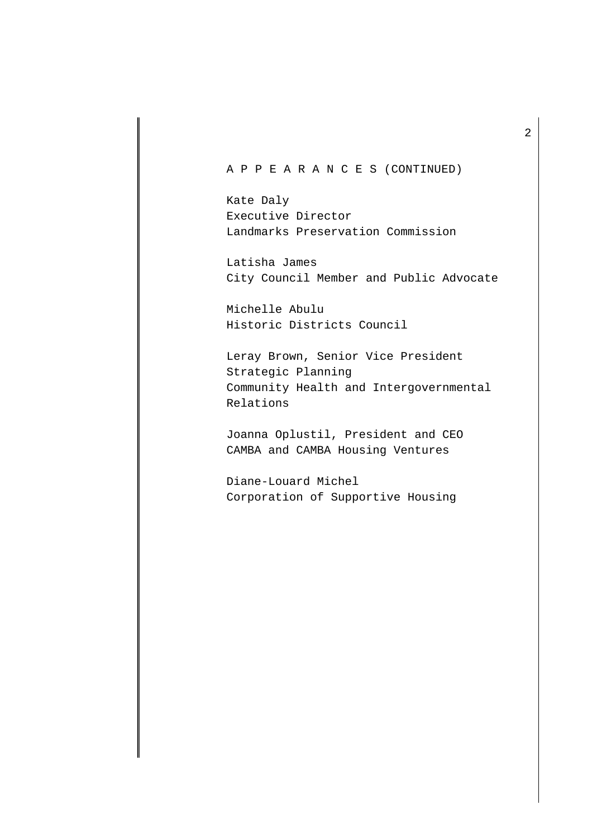## A P P E A R A N C E S (CONTINUED)

Kate Daly Executive Director Landmarks Preservation Commission

Latisha James City Council Member and Public Advocate

Michelle Abulu Historic Districts Council

Leray Brown, Senior Vice President Strategic Planning Community Health and Intergovernmental Relations

Joanna Oplustil, President and CEO CAMBA and CAMBA Housing Ventures

Diane-Louard Michel Corporation of Supportive Housing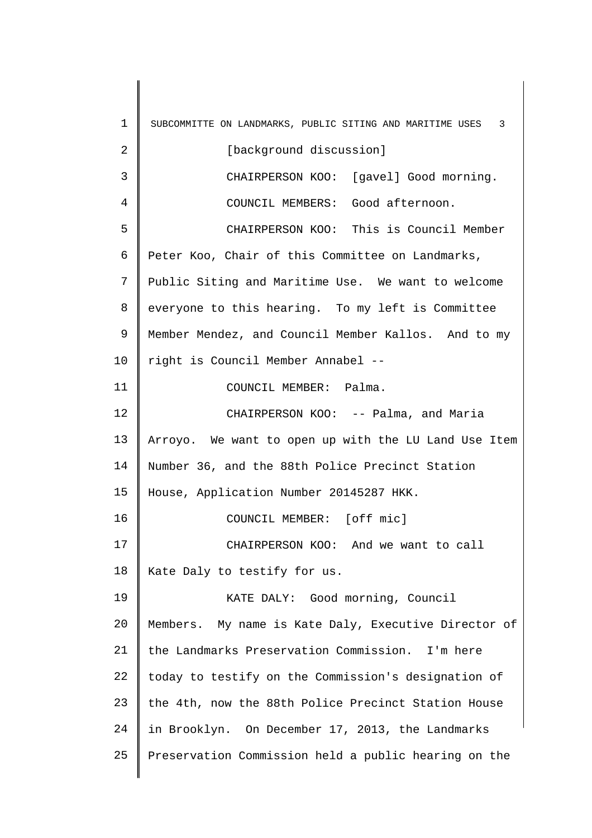1 2 3 4 5 6 7 8 9 10 11 12 13 14 15 16 17 18 19 20 21 22 23 24 25 SUBCOMMITTE ON LANDMARKS, PUBLIC SITING AND MARITIME USES 3 [background discussion] CHAIRPERSON KOO: [gavel] Good morning. COUNCIL MEMBERS: Good afternoon. CHAIRPERSON KOO: This is Council Member Peter Koo, Chair of this Committee on Landmarks, Public Siting and Maritime Use. We want to welcome everyone to this hearing. To my left is Committee Member Mendez, and Council Member Kallos. And to my right is Council Member Annabel -- COUNCIL MEMBER: Palma. CHAIRPERSON KOO: -- Palma, and Maria Arroyo. We want to open up with the LU Land Use Item Number 36, and the 88th Police Precinct Station House, Application Number 20145287 HKK. COUNCIL MEMBER: [off mic] CHAIRPERSON KOO: And we want to call Kate Daly to testify for us. KATE DALY: Good morning, Council Members. My name is Kate Daly, Executive Director of the Landmarks Preservation Commission. I'm here today to testify on the Commission's designation of the 4th, now the 88th Police Precinct Station House in Brooklyn. On December 17, 2013, the Landmarks Preservation Commission held a public hearing on the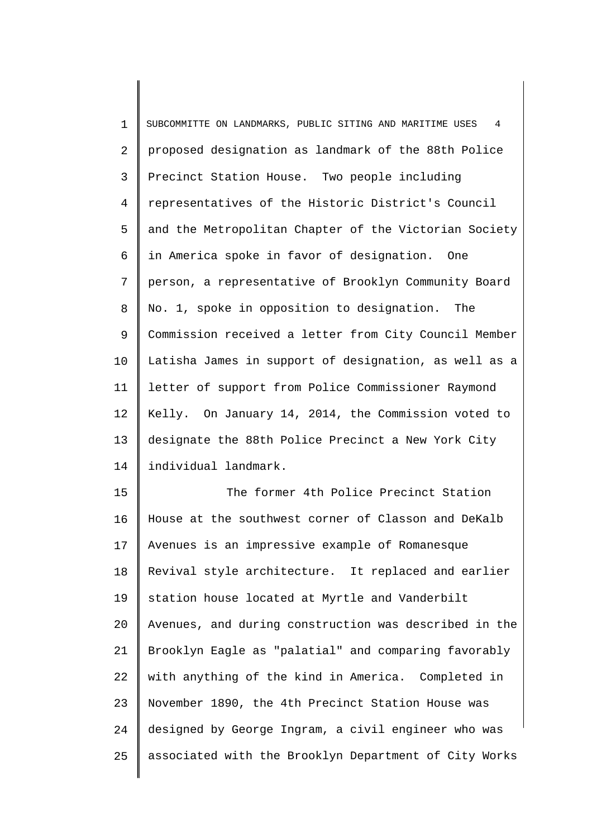1 2 3 4 5 6 7 8 9 10 11 12 13 14 SUBCOMMITTE ON LANDMARKS, PUBLIC SITING AND MARITIME USES 4 proposed designation as landmark of the 88th Police Precinct Station House. Two people including representatives of the Historic District's Council and the Metropolitan Chapter of the Victorian Society in America spoke in favor of designation. One person, a representative of Brooklyn Community Board No. 1, spoke in opposition to designation. The Commission received a letter from City Council Member Latisha James in support of designation, as well as a letter of support from Police Commissioner Raymond Kelly. On January 14, 2014, the Commission voted to designate the 88th Police Precinct a New York City individual landmark.

15 16 17 18 19 20 21 22 23 24 25 The former 4th Police Precinct Station House at the southwest corner of Classon and DeKalb Avenues is an impressive example of Romanesque Revival style architecture. It replaced and earlier station house located at Myrtle and Vanderbilt Avenues, and during construction was described in the Brooklyn Eagle as "palatial" and comparing favorably with anything of the kind in America. Completed in November 1890, the 4th Precinct Station House was designed by George Ingram, a civil engineer who was associated with the Brooklyn Department of City Works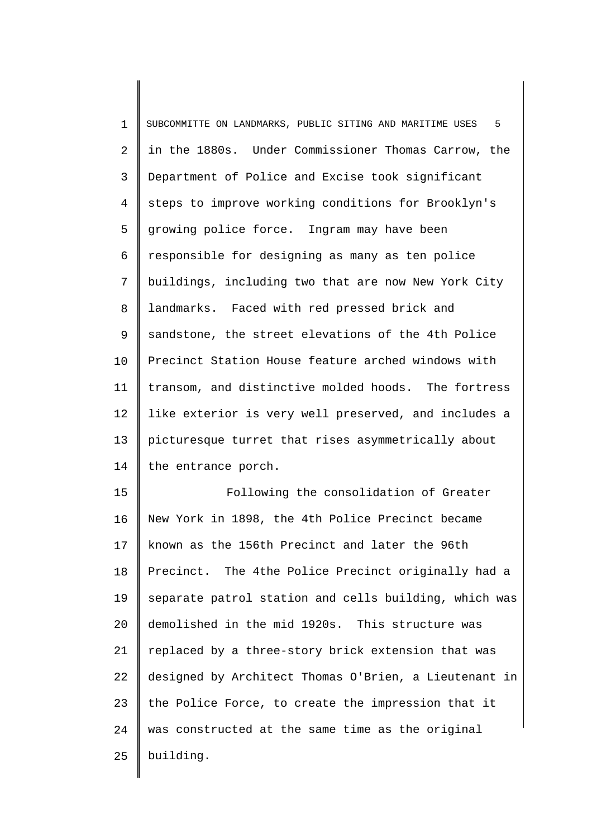1 2 3 4 5 6 7 8 9 10 11 12 13 14 15 SUBCOMMITTE ON LANDMARKS, PUBLIC SITING AND MARITIME USES 5 in the 1880s. Under Commissioner Thomas Carrow, the Department of Police and Excise took significant steps to improve working conditions for Brooklyn's growing police force. Ingram may have been responsible for designing as many as ten police buildings, including two that are now New York City landmarks. Faced with red pressed brick and sandstone, the street elevations of the 4th Police Precinct Station House feature arched windows with transom, and distinctive molded hoods. The fortress like exterior is very well preserved, and includes a picturesque turret that rises asymmetrically about the entrance porch. Following the consolidation of Greater

16 17 18 19 20 21 22 23 24 25 New York in 1898, the 4th Police Precinct became known as the 156th Precinct and later the 96th Precinct. The 4the Police Precinct originally had a separate patrol station and cells building, which was demolished in the mid 1920s. This structure was replaced by a three-story brick extension that was designed by Architect Thomas O'Brien, a Lieutenant in the Police Force, to create the impression that it was constructed at the same time as the original building.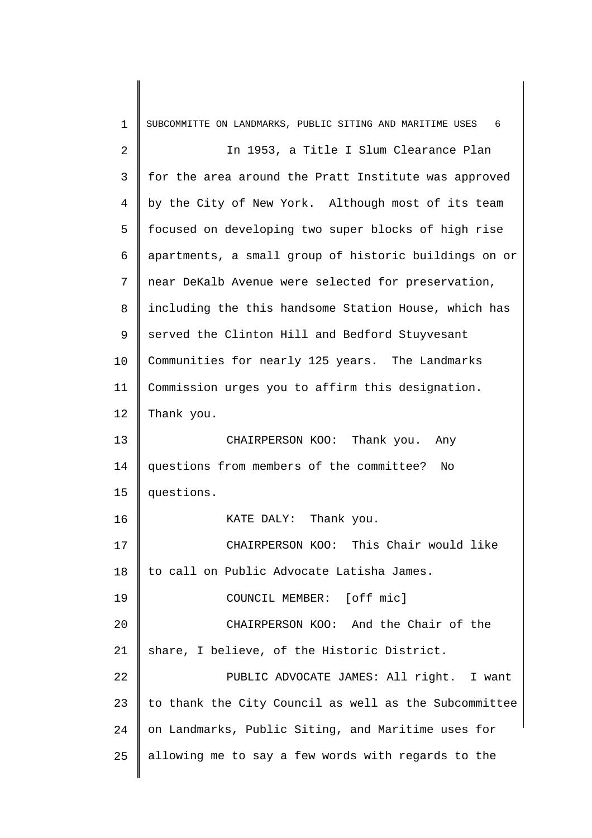| 1              | SUBCOMMITTE ON LANDMARKS, PUBLIC SITING AND MARITIME USES<br>6 |
|----------------|----------------------------------------------------------------|
| $\overline{2}$ | In 1953, a Title I Slum Clearance Plan                         |
| 3              | for the area around the Pratt Institute was approved           |
| 4              | by the City of New York. Although most of its team             |
| 5              | focused on developing two super blocks of high rise            |
| 6              | apartments, a small group of historic buildings on or          |
| 7              | near DeKalb Avenue were selected for preservation,             |
| 8              | including the this handsome Station House, which has           |
| 9              | served the Clinton Hill and Bedford Stuyvesant                 |
| 10             | Communities for nearly 125 years. The Landmarks                |
| 11             | Commission urges you to affirm this designation.               |
| 12             | Thank you.                                                     |
| 13             | CHAIRPERSON KOO: Thank you. Any                                |
| 14             | questions from members of the committee?<br>No.                |
| 15             | questions.                                                     |
| 16             | Thank you.<br>KATE DALY:                                       |
| 17             | CHAIRPERSON KOO: This Chair would like                         |
| 18             | to call on Public Advocate Latisha James.                      |
| 19             | COUNCIL MEMBER: [off mic]                                      |
| 20             | CHAIRPERSON KOO: And the Chair of the                          |
| 21             | share, I believe, of the Historic District.                    |
| 22             | PUBLIC ADVOCATE JAMES: All right. I want                       |
| 23             | to thank the City Council as well as the Subcommittee          |
| 24             | on Landmarks, Public Siting, and Maritime uses for             |
| 25             | allowing me to say a few words with regards to the             |
|                |                                                                |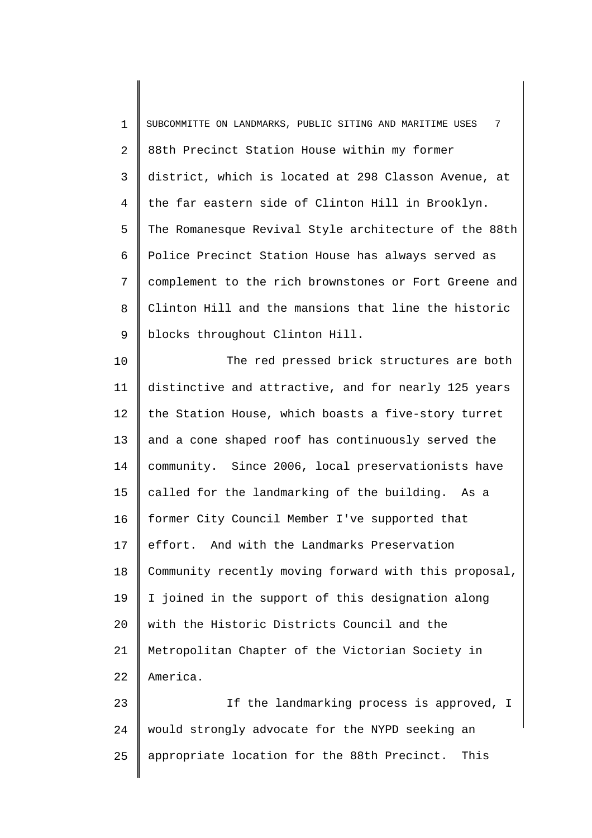1 2 3 4 5 6 7 8 9 SUBCOMMITTE ON LANDMARKS, PUBLIC SITING AND MARITIME USES 7 88th Precinct Station House within my former district, which is located at 298 Classon Avenue, at the far eastern side of Clinton Hill in Brooklyn. The Romanesque Revival Style architecture of the 88th Police Precinct Station House has always served as complement to the rich brownstones or Fort Greene and Clinton Hill and the mansions that line the historic blocks throughout Clinton Hill.

10 11 12 13 14 15 16 17 18 19 20 21 22 The red pressed brick structures are both distinctive and attractive, and for nearly 125 years the Station House, which boasts a five-story turret and a cone shaped roof has continuously served the community. Since 2006, local preservationists have called for the landmarking of the building. As a former City Council Member I've supported that effort. And with the Landmarks Preservation Community recently moving forward with this proposal, I joined in the support of this designation along with the Historic Districts Council and the Metropolitan Chapter of the Victorian Society in America.

23 24 25 If the landmarking process is approved, I would strongly advocate for the NYPD seeking an appropriate location for the 88th Precinct. This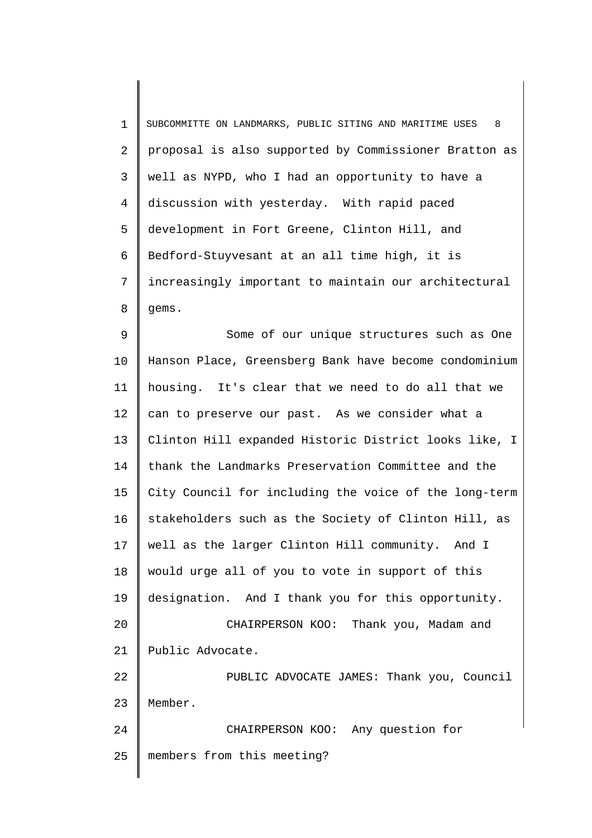| $\mathbf 1$ | 8<br>SUBCOMMITTE ON LANDMARKS, PUBLIC SITING AND MARITIME USES |
|-------------|----------------------------------------------------------------|
| 2           | proposal is also supported by Commissioner Bratton as          |
| 3           | well as NYPD, who I had an opportunity to have a               |
| 4           | discussion with yesterday. With rapid paced                    |
| 5           | development in Fort Greene, Clinton Hill, and                  |
| 6           | Bedford-Stuyvesant at an all time high, it is                  |
| 7           | increasingly important to maintain our architectural           |
| 8           | gems.                                                          |
| 9           | Some of our unique structures such as One                      |
| 10          | Hanson Place, Greensberg Bank have become condominium          |
| 11          | housing. It's clear that we need to do all that we             |
| 12          | can to preserve our past. As we consider what a                |
| 13          | Clinton Hill expanded Historic District looks like, I          |
| 14          | thank the Landmarks Preservation Committee and the             |
| 15          | City Council for including the voice of the long-term          |
| 16          | stakeholders such as the Society of Clinton Hill, as           |
| 17          | well as the larger Clinton Hill community. And I               |
| 18          | would urge all of you to vote in support of this               |
| 19          | designation. And I thank you for this opportunity.             |
| 20          | CHAIRPERSON KOO: Thank you, Madam and                          |
| 21          | Public Advocate.                                               |
| 22          | PUBLIC ADVOCATE JAMES: Thank you, Council                      |
| 23          | Member.                                                        |
| 24          | CHAIRPERSON KOO: Any question for                              |
| 25          | members from this meeting?                                     |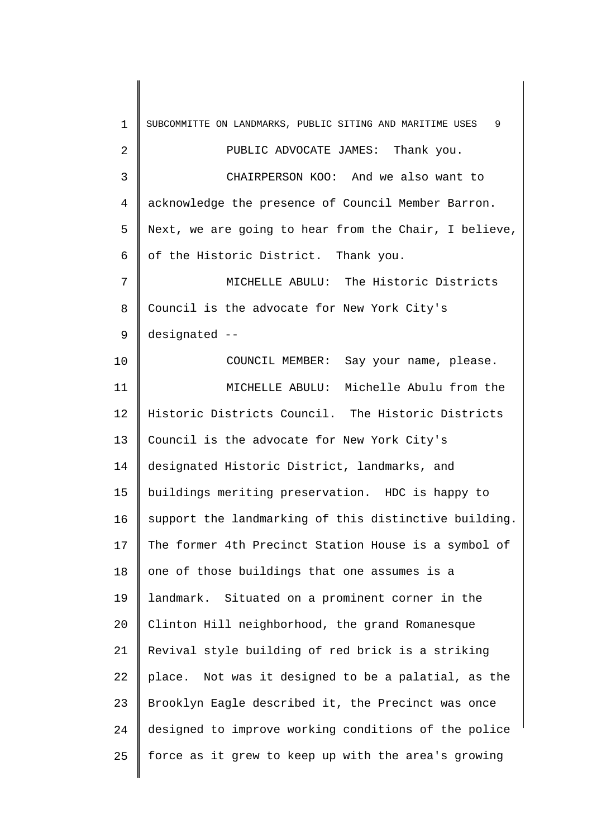1 2 3 4 5 6 7 8 9 10 11 12 13 14 15 16 17 18 19 20 21 22 23 24 25 SUBCOMMITTE ON LANDMARKS, PUBLIC SITING AND MARITIME USES 9 PUBLIC ADVOCATE JAMES: Thank you. CHAIRPERSON KOO: And we also want to acknowledge the presence of Council Member Barron. Next, we are going to hear from the Chair, I believe, of the Historic District. Thank you. MICHELLE ABULU: The Historic Districts Council is the advocate for New York City's designated -- COUNCIL MEMBER: Say your name, please. MICHELLE ABULU: Michelle Abulu from the Historic Districts Council. The Historic Districts Council is the advocate for New York City's designated Historic District, landmarks, and buildings meriting preservation. HDC is happy to support the landmarking of this distinctive building. The former 4th Precinct Station House is a symbol of one of those buildings that one assumes is a landmark. Situated on a prominent corner in the Clinton Hill neighborhood, the grand Romanesque Revival style building of red brick is a striking place. Not was it designed to be a palatial, as the Brooklyn Eagle described it, the Precinct was once designed to improve working conditions of the police force as it grew to keep up with the area's growing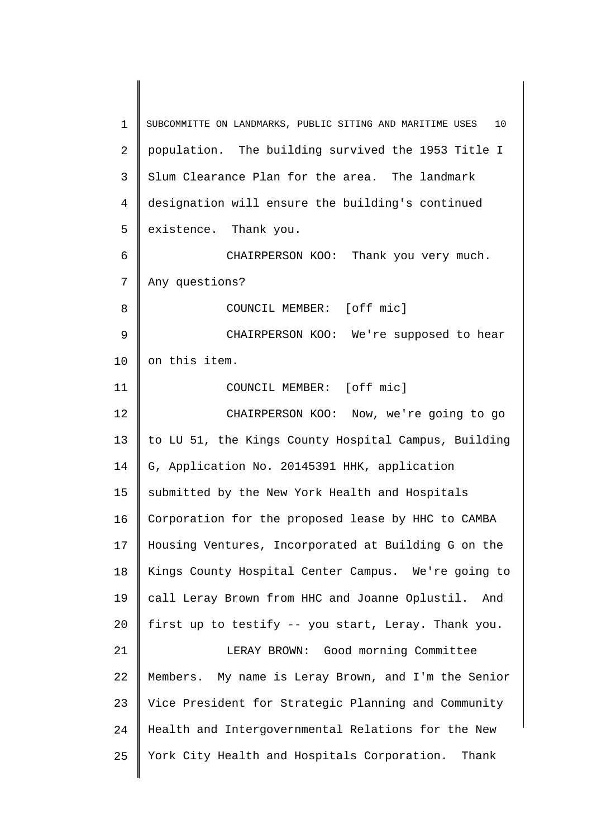1 2 3 4 5 6 7 8 9 10 11 12 13 14 15 16 17 18 19 20 21 22 23 24 25 SUBCOMMITTE ON LANDMARKS, PUBLIC SITING AND MARITIME USES 10 population. The building survived the 1953 Title I Slum Clearance Plan for the area. The landmark designation will ensure the building's continued existence. Thank you. CHAIRPERSON KOO: Thank you very much. Any questions? COUNCIL MEMBER: [off mic] CHAIRPERSON KOO: We're supposed to hear on this item. COUNCIL MEMBER: [off mic] CHAIRPERSON KOO: Now, we're going to go to LU 51, the Kings County Hospital Campus, Building G, Application No. 20145391 HHK, application submitted by the New York Health and Hospitals Corporation for the proposed lease by HHC to CAMBA Housing Ventures, Incorporated at Building G on the Kings County Hospital Center Campus. We're going to call Leray Brown from HHC and Joanne Oplustil. And first up to testify -- you start, Leray. Thank you. LERAY BROWN: Good morning Committee Members. My name is Leray Brown, and I'm the Senior Vice President for Strategic Planning and Community Health and Intergovernmental Relations for the New York City Health and Hospitals Corporation. Thank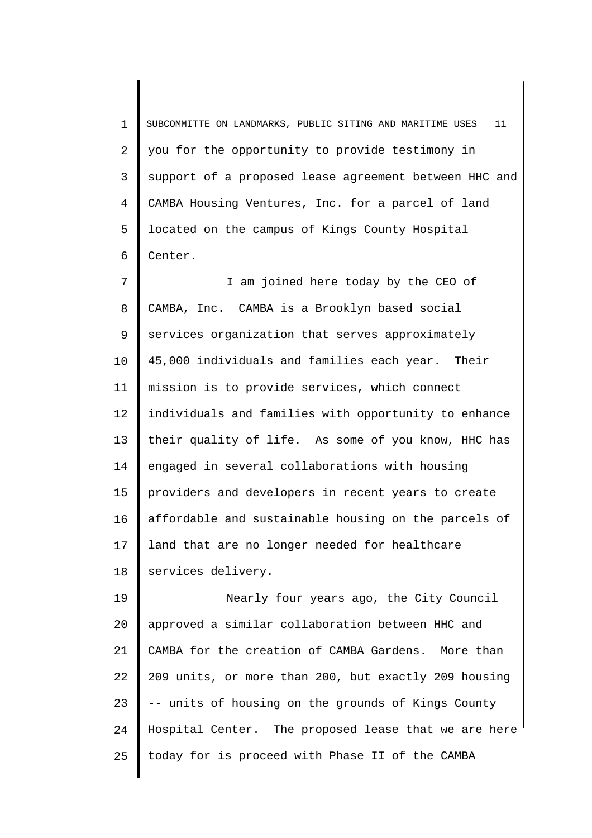1 2 3 4 5 6 SUBCOMMITTE ON LANDMARKS, PUBLIC SITING AND MARITIME USES 11 you for the opportunity to provide testimony in support of a proposed lease agreement between HHC and CAMBA Housing Ventures, Inc. for a parcel of land located on the campus of Kings County Hospital Center.

7 8 9 10 11 12 13 14 15 16 17 18 I am joined here today by the CEO of CAMBA, Inc. CAMBA is a Brooklyn based social services organization that serves approximately 45,000 individuals and families each year. Their mission is to provide services, which connect individuals and families with opportunity to enhance their quality of life. As some of you know, HHC has engaged in several collaborations with housing providers and developers in recent years to create affordable and sustainable housing on the parcels of land that are no longer needed for healthcare services delivery.

19 20 21 22 23 24 25 Nearly four years ago, the City Council approved a similar collaboration between HHC and CAMBA for the creation of CAMBA Gardens. More than 209 units, or more than 200, but exactly 209 housing -- units of housing on the grounds of Kings County Hospital Center. The proposed lease that we are here today for is proceed with Phase II of the CAMBA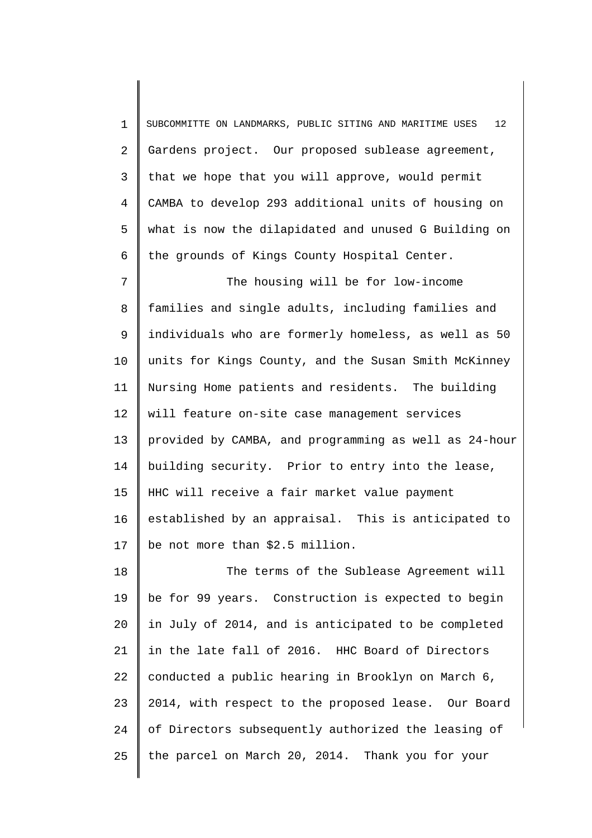1 2 3 4 5 6 7 8 9 10 11 12 13 14 15 16 17 18 19 20 21 22 23 SUBCOMMITTE ON LANDMARKS, PUBLIC SITING AND MARITIME USES 12 Gardens project. Our proposed sublease agreement, that we hope that you will approve, would permit CAMBA to develop 293 additional units of housing on what is now the dilapidated and unused G Building on the grounds of Kings County Hospital Center. The housing will be for low-income families and single adults, including families and individuals who are formerly homeless, as well as 50 units for Kings County, and the Susan Smith McKinney Nursing Home patients and residents. The building will feature on-site case management services provided by CAMBA, and programming as well as 24-hour building security. Prior to entry into the lease, HHC will receive a fair market value payment established by an appraisal. This is anticipated to be not more than \$2.5 million. The terms of the Sublease Agreement will be for 99 years. Construction is expected to begin in July of 2014, and is anticipated to be completed in the late fall of 2016. HHC Board of Directors conducted a public hearing in Brooklyn on March 6, 2014, with respect to the proposed lease. Our Board

25 the parcel on March 20, 2014. Thank you for your

of Directors subsequently authorized the leasing of

24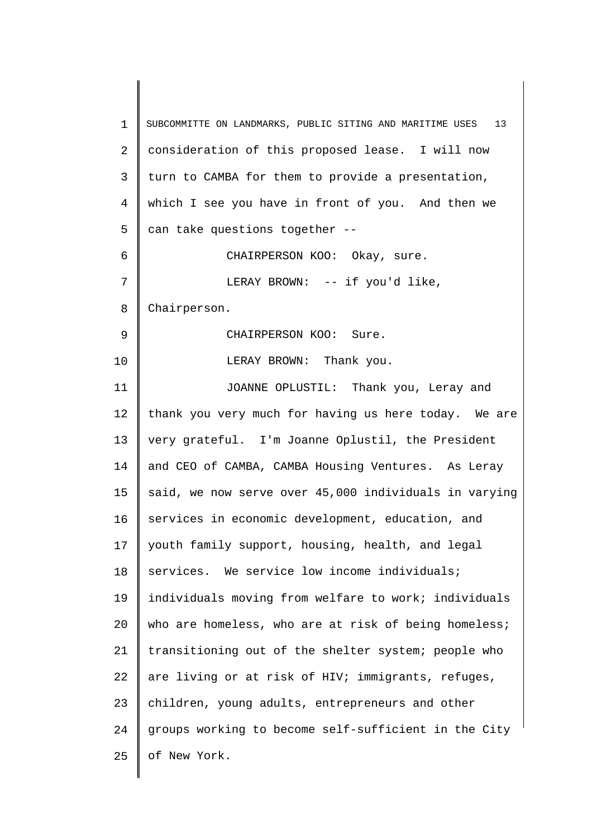1 2 3 4 5 6 7 8 9 10 11 12 13 14 15 16 17 18 19 20 21 22 23 24 25 SUBCOMMITTE ON LANDMARKS, PUBLIC SITING AND MARITIME USES 13 consideration of this proposed lease. I will now turn to CAMBA for them to provide a presentation, which I see you have in front of you. And then we can take questions together -- CHAIRPERSON KOO: Okay, sure. LERAY BROWN: -- if you'd like, Chairperson. CHAIRPERSON KOO: Sure. LERAY BROWN: Thank you. JOANNE OPLUSTIL: Thank you, Leray and thank you very much for having us here today. We are very grateful. I'm Joanne Oplustil, the President and CEO of CAMBA, CAMBA Housing Ventures. As Leray said, we now serve over 45,000 individuals in varying services in economic development, education, and youth family support, housing, health, and legal services. We service low income individuals; individuals moving from welfare to work; individuals who are homeless, who are at risk of being homeless; transitioning out of the shelter system; people who are living or at risk of HIV; immigrants, refuges, children, young adults, entrepreneurs and other groups working to become self-sufficient in the City of New York.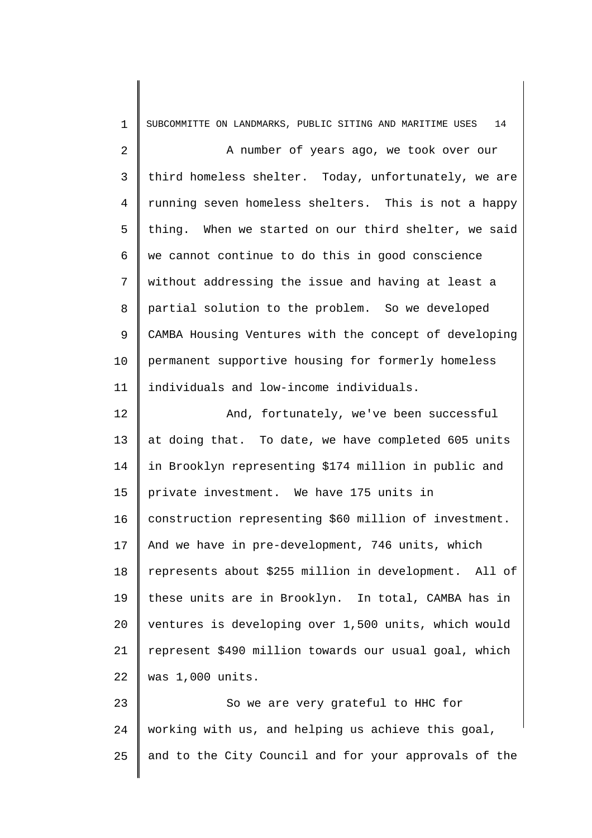1 2 3 4 5 6 7 8 9 10 11 12 13 14 15 16 17 18 19 20 21 22 23 24 SUBCOMMITTE ON LANDMARKS, PUBLIC SITING AND MARITIME USES 14 A number of years ago, we took over our third homeless shelter. Today, unfortunately, we are running seven homeless shelters. This is not a happy thing. When we started on our third shelter, we said we cannot continue to do this in good conscience without addressing the issue and having at least a partial solution to the problem. So we developed CAMBA Housing Ventures with the concept of developing permanent supportive housing for formerly homeless individuals and low-income individuals. And, fortunately, we've been successful at doing that. To date, we have completed 605 units in Brooklyn representing \$174 million in public and private investment. We have 175 units in construction representing \$60 million of investment. And we have in pre-development, 746 units, which represents about \$255 million in development. All of these units are in Brooklyn. In total, CAMBA has in ventures is developing over 1,500 units, which would represent \$490 million towards our usual goal, which was 1,000 units. So we are very grateful to HHC for working with us, and helping us achieve this goal,

and to the City Council and for your approvals of the

25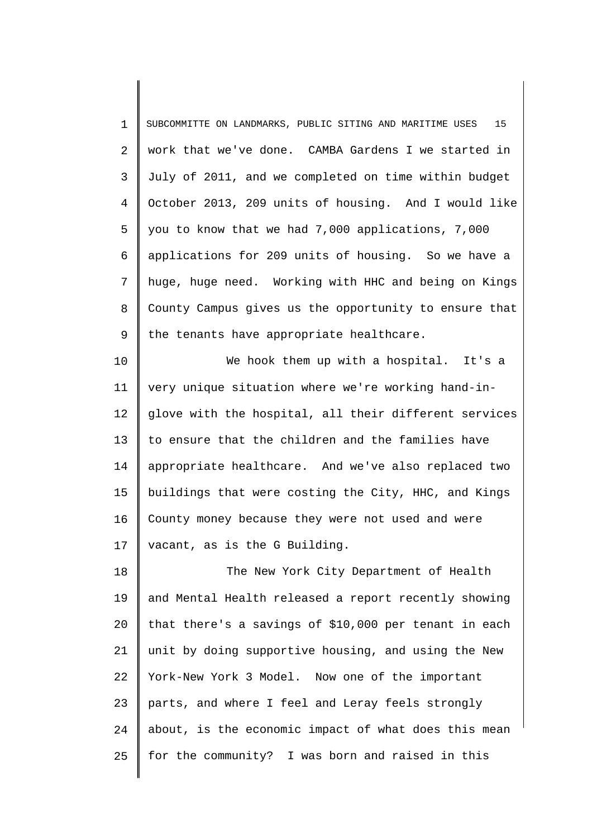1 2 3 4 5 6 7 8 9 SUBCOMMITTE ON LANDMARKS, PUBLIC SITING AND MARITIME USES 15 work that we've done. CAMBA Gardens I we started in July of 2011, and we completed on time within budget October 2013, 209 units of housing. And I would like you to know that we had 7,000 applications, 7,000 applications for 209 units of housing. So we have a huge, huge need. Working with HHC and being on Kings County Campus gives us the opportunity to ensure that the tenants have appropriate healthcare.

10 11 12 13 14 15 16 17 We hook them up with a hospital. It's a very unique situation where we're working hand-inglove with the hospital, all their different services to ensure that the children and the families have appropriate healthcare. And we've also replaced two buildings that were costing the City, HHC, and Kings County money because they were not used and were vacant, as is the G Building.

18 19 20 21 22 23 24 25 The New York City Department of Health and Mental Health released a report recently showing that there's a savings of \$10,000 per tenant in each unit by doing supportive housing, and using the New York-New York 3 Model. Now one of the important parts, and where I feel and Leray feels strongly about, is the economic impact of what does this mean for the community? I was born and raised in this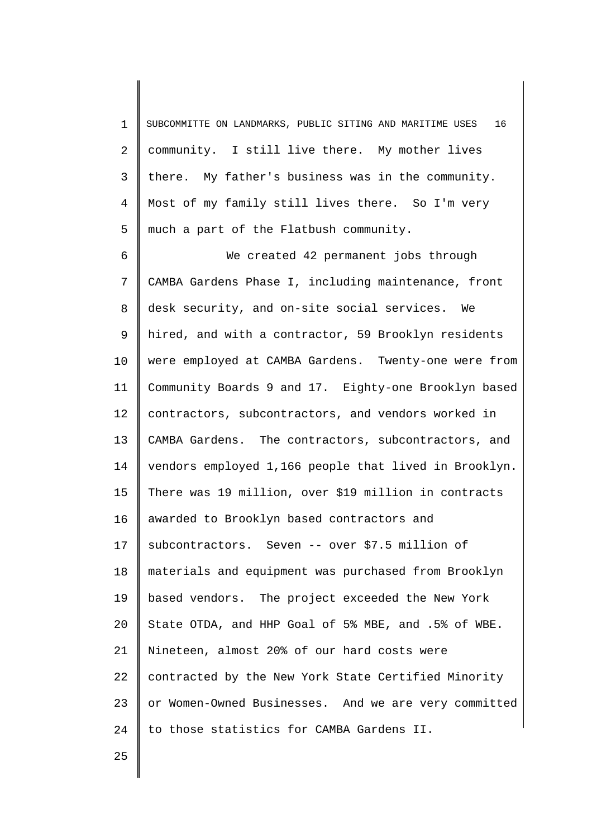1 2 3 4 5 SUBCOMMITTE ON LANDMARKS, PUBLIC SITING AND MARITIME USES 16 community. I still live there. My mother lives there. My father's business was in the community. Most of my family still lives there. So I'm very much a part of the Flatbush community.

6 7 8 9 10 11 12 13 14 15 16 17 18 19 20 21 22 23 24 We created 42 permanent jobs through CAMBA Gardens Phase I, including maintenance, front desk security, and on-site social services. We hired, and with a contractor, 59 Brooklyn residents were employed at CAMBA Gardens. Twenty-one were from Community Boards 9 and 17. Eighty-one Brooklyn based contractors, subcontractors, and vendors worked in CAMBA Gardens. The contractors, subcontractors, and vendors employed 1,166 people that lived in Brooklyn. There was 19 million, over \$19 million in contracts awarded to Brooklyn based contractors and subcontractors. Seven -- over \$7.5 million of materials and equipment was purchased from Brooklyn based vendors. The project exceeded the New York State OTDA, and HHP Goal of 5% MBE, and .5% of WBE. Nineteen, almost 20% of our hard costs were contracted by the New York State Certified Minority or Women-Owned Businesses. And we are very committed to those statistics for CAMBA Gardens II.

25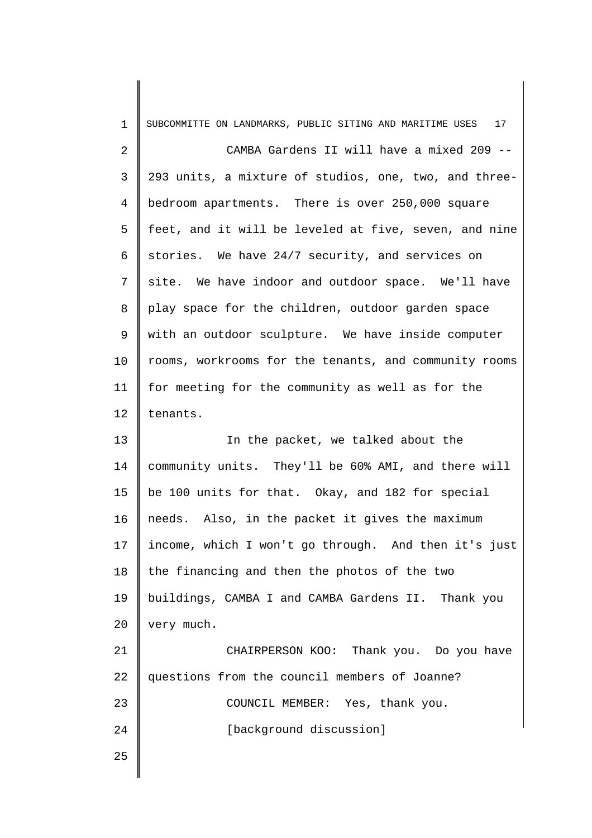| $\mathbf 1$    | 17<br>SUBCOMMITTE ON LANDMARKS, PUBLIC SITING AND MARITIME USES |
|----------------|-----------------------------------------------------------------|
| $\overline{2}$ | CAMBA Gardens II will have a mixed 209 --                       |
| 3              | 293 units, a mixture of studios, one, two, and three-           |
| 4              | bedroom apartments. There is over 250,000 square                |
| 5              | feet, and it will be leveled at five, seven, and nine           |
| 6              | stories. We have 24/7 security, and services on                 |
| 7              | site. We have indoor and outdoor space. We'll have              |
| 8              | play space for the children, outdoor garden space               |
| 9              | with an outdoor sculpture. We have inside computer              |
| 10             | rooms, workrooms for the tenants, and community rooms           |
| 11             | for meeting for the community as well as for the                |
| 12             | tenants.                                                        |
| 13             | In the packet, we talked about the                              |
| 14             | community units. They'll be 60% AMI, and there will             |
| 15             | be 100 units for that. Okay, and 182 for special                |
| 16             | needs. Also, in the packet it gives the maximum                 |
| 17             | income, which I won't go through. And then it's just            |
| 18             |                                                                 |
|                | the financing and then the photos of the two                    |
|                | buildings, CAMBA I and CAMBA Gardens II. Thank you              |
| 19<br>20       | very much.                                                      |
|                | CHAIRPERSON KOO: Thank you. Do you have                         |
|                | questions from the council members of Joanne?                   |
| 21<br>22<br>23 | COUNCIL MEMBER: Yes, thank you.                                 |
| 24             | [background discussion]                                         |
| 25             |                                                                 |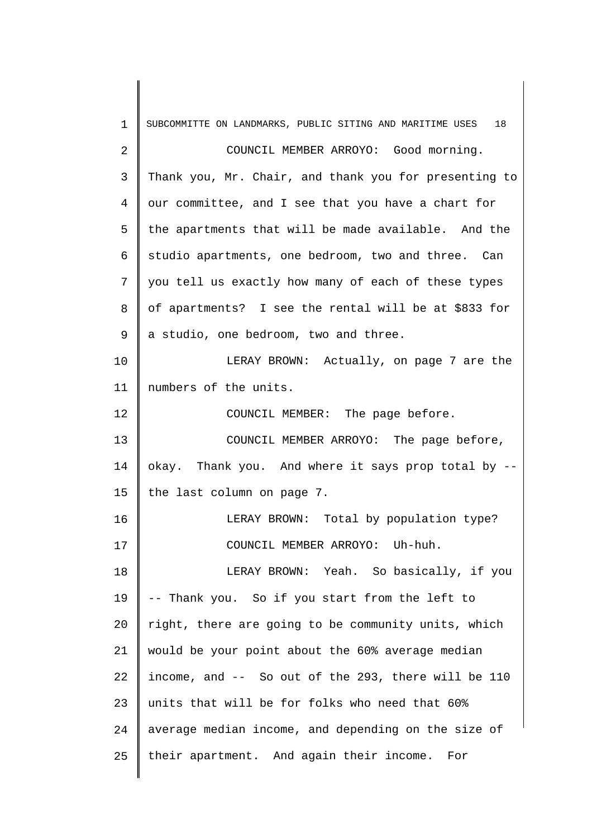| $\mathbf 1$ | SUBCOMMITTE ON LANDMARKS, PUBLIC SITING AND MARITIME USES<br>18 |
|-------------|-----------------------------------------------------------------|
| 2           | COUNCIL MEMBER ARROYO: Good morning.                            |
| 3           | Thank you, Mr. Chair, and thank you for presenting to           |
| 4           | our committee, and I see that you have a chart for              |
| 5           | the apartments that will be made available. And the             |
| 6           | studio apartments, one bedroom, two and three. Can              |
| 7           | you tell us exactly how many of each of these types             |
| 8           | of apartments? I see the rental will be at \$833 for            |
| 9           | a studio, one bedroom, two and three.                           |
| 10          | LERAY BROWN: Actually, on page 7 are the                        |
| 11          | numbers of the units.                                           |
| 12          | COUNCIL MEMBER: The page before.                                |
| 13          | COUNCIL MEMBER ARROYO: The page before,                         |
| 14          | okay. Thank you. And where it says prop total by --             |
| 15          | the last column on page 7.                                      |
| 16          | LERAY BROWN: Total by population type?                          |
| 17          | COUNCIL MEMBER ARROYO: Uh-huh.                                  |
| 18          | LERAY BROWN: Yeah. So basically, if you                         |
| 19          | -- Thank you. So if you start from the left to                  |
| 20          | right, there are going to be community units, which             |
| 21          | would be your point about the 60% average median                |
| 22          | income, and -- So out of the 293, there will be 110             |
| 23          | units that will be for folks who need that 60%                  |
| 24          | average median income, and depending on the size of             |
| 25          | their apartment. And again their income. For                    |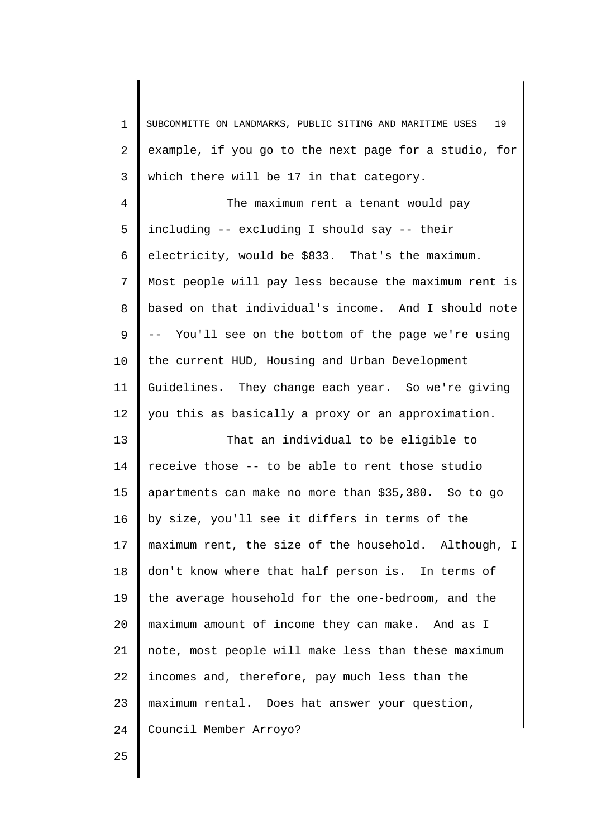| $\mathbf 1$ | SUBCOMMITTE ON LANDMARKS, PUBLIC SITING AND MARITIME USES<br>19 |
|-------------|-----------------------------------------------------------------|
| 2           | example, if you go to the next page for a studio, for           |
| 3           | which there will be 17 in that category.                        |
| 4           | The maximum rent a tenant would pay                             |
| 5           | including -- excluding I should say -- their                    |
| 6           | electricity, would be \$833. That's the maximum.                |
| 7           | Most people will pay less because the maximum rent is           |
| 8           | based on that individual's income. And I should note            |
| 9           | -- You'll see on the bottom of the page we're using             |
| 10          | the current HUD, Housing and Urban Development                  |
| 11          | Guidelines. They change each year. So we're giving              |
| 12          | you this as basically a proxy or an approximation.              |
| 13          | That an individual to be eligible to                            |
| 14          | receive those -- to be able to rent those studio                |
| 15          | apartments can make no more than \$35,380. So to go             |
| 16          | by size, you'll see it differs in terms of the                  |
| 17          | maximum rent, the size of the household. Although, I            |
| 18          | don't know where that half person is. In terms of               |
| 19          | the average household for the one-bedroom, and the              |
| 20          | maximum amount of income they can make. And as I                |
| 21          | note, most people will make less than these maximum             |
| 22          | incomes and, therefore, pay much less than the                  |
| 23          | maximum rental. Does hat answer your question,                  |
| 24          | Council Member Arroyo?                                          |
|             |                                                                 |

25

 $\blacksquare$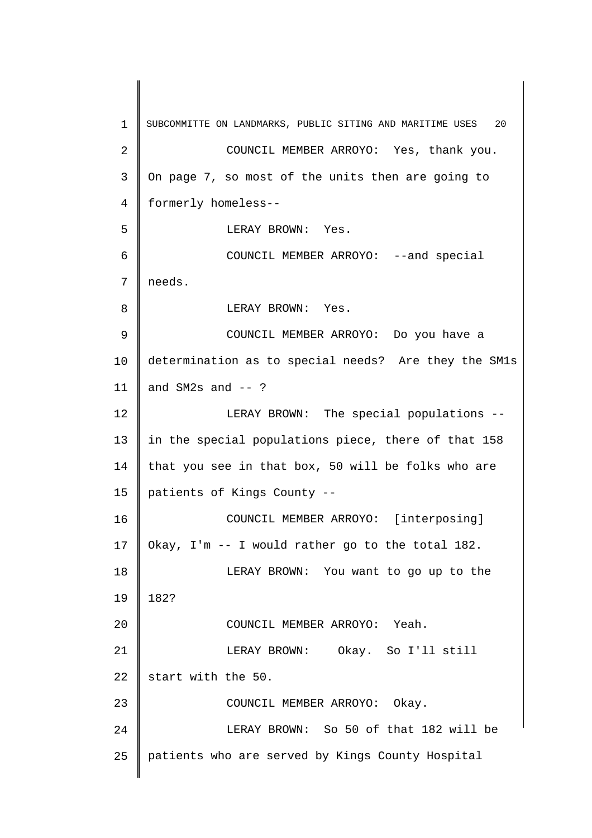1 2 3 4 5 6 7 8 9 10 11 12 13 14 15 16 17 18 19 20 21 22 23 24 25 SUBCOMMITTE ON LANDMARKS, PUBLIC SITING AND MARITIME USES 20 COUNCIL MEMBER ARROYO: Yes, thank you. On page 7, so most of the units then are going to formerly homeless-- LERAY BROWN: Yes. COUNCIL MEMBER ARROYO: --and special needs. LERAY BROWN: Yes. COUNCIL MEMBER ARROYO: Do you have a determination as to special needs? Are they the SM1s and  $SM2s$  and  $--$  ? LERAY BROWN: The special populations - in the special populations piece, there of that 158 that you see in that box, 50 will be folks who are patients of Kings County -- COUNCIL MEMBER ARROYO: [interposing] Okay, I'm -- I would rather go to the total 182. LERAY BROWN: You want to go up to the 182? COUNCIL MEMBER ARROYO: Yeah. LERAY BROWN: Okay. So I'll still start with the 50. COUNCIL MEMBER ARROYO: Okay. LERAY BROWN: So 50 of that 182 will be patients who are served by Kings County Hospital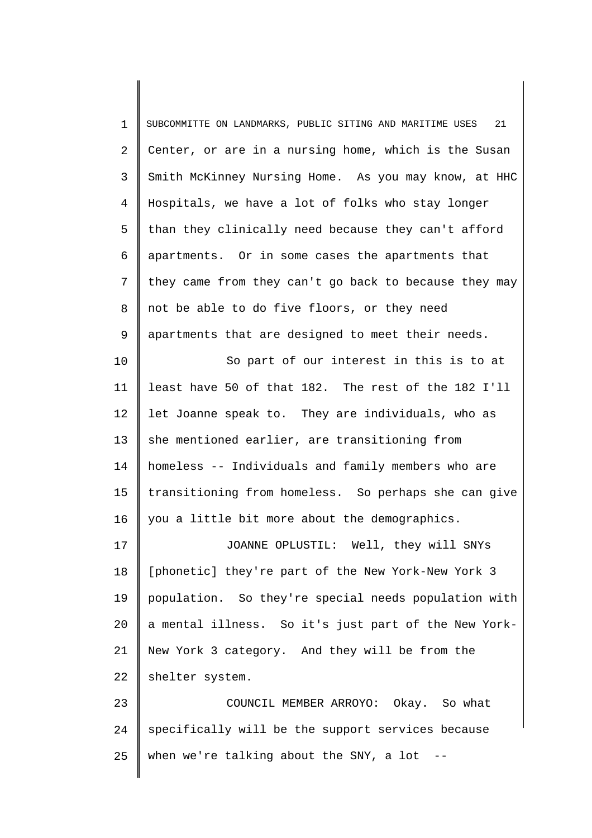| $\mathbf 1$    | 21<br>SUBCOMMITTE ON LANDMARKS, PUBLIC SITING AND MARITIME USES |
|----------------|-----------------------------------------------------------------|
| 2              | Center, or are in a nursing home, which is the Susan            |
| 3              | Smith McKinney Nursing Home. As you may know, at HHC            |
| $\overline{4}$ | Hospitals, we have a lot of folks who stay longer               |
| 5              | than they clinically need because they can't afford             |
| 6              | apartments. Or in some cases the apartments that                |
| 7              | they came from they can't go back to because they may           |
| 8              | not be able to do five floors, or they need                     |
| 9              | apartments that are designed to meet their needs.               |
| 10             | So part of our interest in this is to at                        |
| 11             | least have 50 of that 182. The rest of the 182 I'll             |
| 12             | let Joanne speak to. They are individuals, who as               |
| 13             | she mentioned earlier, are transitioning from                   |
| 14             | homeless -- Individuals and family members who are              |
| 15             | transitioning from homeless. So perhaps she can give            |
| 16             | you a little bit more about the demographics.                   |
| 17             | JOANNE OPLUSTIL: Well, they will SNYs                           |
| 18             | [phonetic] they're part of the New York-New York 3              |
| 19             | population. So they're special needs population with            |
| 20             | a mental illness. So it's just part of the New York-            |
| 21             | New York 3 category. And they will be from the                  |
| 22             | shelter system.                                                 |
| 23             | COUNCIL MEMBER ARROYO: Okay. So what                            |
| 24             | specifically will be the support services because               |
| 25             | when we're talking about the SNY, a lot $-$ -                   |
|                |                                                                 |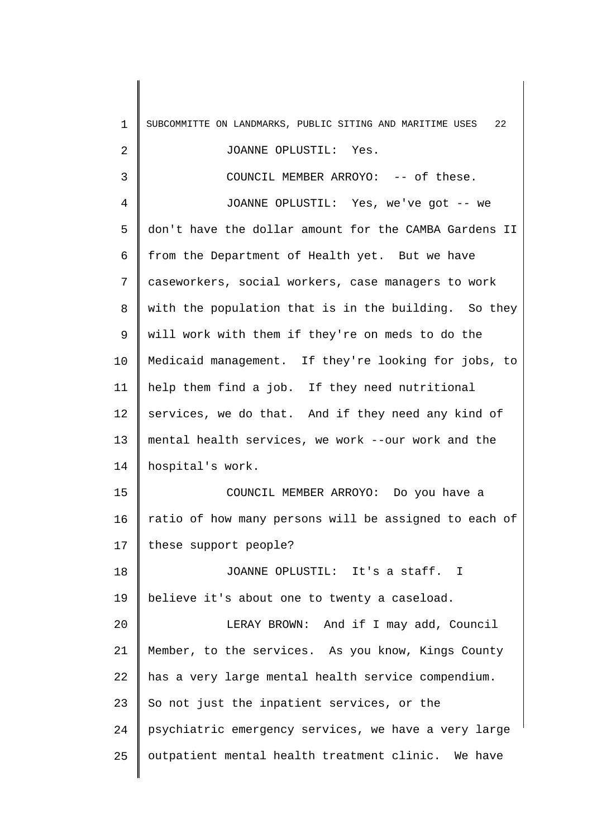| $\mathbf 1$    | SUBCOMMITTE ON LANDMARKS, PUBLIC SITING AND MARITIME USES<br>22 |
|----------------|-----------------------------------------------------------------|
| 2              | JOANNE OPLUSTIL: Yes.                                           |
| 3              | COUNCIL MEMBER ARROYO: -- of these.                             |
| $\overline{4}$ | JOANNE OPLUSTIL: Yes, we've got -- we                           |
| 5              | don't have the dollar amount for the CAMBA Gardens II           |
| 6              | from the Department of Health yet. But we have                  |
| 7              | caseworkers, social workers, case managers to work              |
| 8              | with the population that is in the building. So they            |
| 9              | will work with them if they're on meds to do the                |
| 10             | Medicaid management. If they're looking for jobs, to            |
| 11             | help them find a job. If they need nutritional                  |
| 12             | services, we do that. And if they need any kind of              |
| 13             | mental health services, we work --our work and the              |
| 14             | hospital's work.                                                |
| 15             | COUNCIL MEMBER ARROYO: Do you have a                            |
| 16             | ratio of how many persons will be assigned to each of           |
| 17             | these support people?                                           |
| 18             | JOANNE OPLUSTIL: It's a staff. I                                |
| 19             | believe it's about one to twenty a caseload.                    |
| 20             | LERAY BROWN: And if I may add, Council                          |
| 21             | Member, to the services. As you know, Kings County              |
| 22             | has a very large mental health service compendium.              |
| 23             | So not just the inpatient services, or the                      |
| 24             | psychiatric emergency services, we have a very large            |
| 25             | outpatient mental health treatment clinic. We have              |
|                |                                                                 |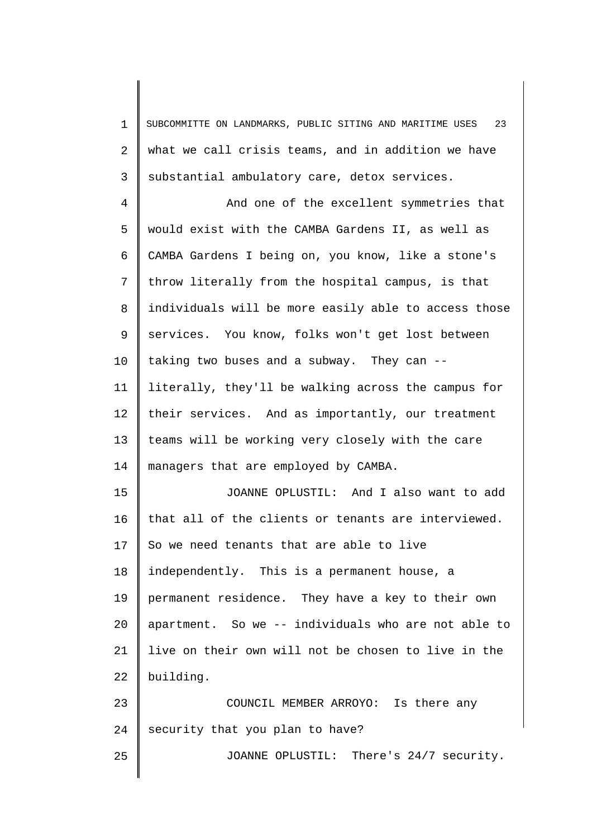1 2 3 SUBCOMMITTE ON LANDMARKS, PUBLIC SITING AND MARITIME USES 23 what we call crisis teams, and in addition we have substantial ambulatory care, detox services.

4 5 6 7 8 9 10 11 12 13 14 And one of the excellent symmetries that would exist with the CAMBA Gardens II, as well as CAMBA Gardens I being on, you know, like a stone's throw literally from the hospital campus, is that individuals will be more easily able to access those services. You know, folks won't get lost between taking two buses and a subway. They can - literally, they'll be walking across the campus for their services. And as importantly, our treatment teams will be working very closely with the care managers that are employed by CAMBA.

15 16 17 18 19 20 21 22 JOANNE OPLUSTIL: And I also want to add that all of the clients or tenants are interviewed. So we need tenants that are able to live independently. This is a permanent house, a permanent residence. They have a key to their own apartment. So we -- individuals who are not able to live on their own will not be chosen to live in the building.

23 24 25 COUNCIL MEMBER ARROYO: Is there any security that you plan to have? JOANNE OPLUSTIL: There's 24/7 security.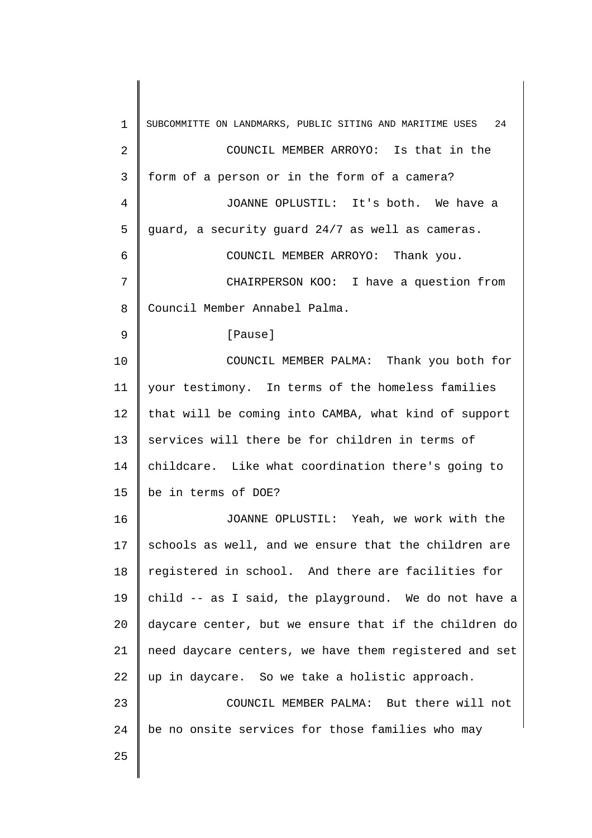| $\mathbf{1}$ | SUBCOMMITTE ON LANDMARKS, PUBLIC SITING AND MARITIME USES 24 |
|--------------|--------------------------------------------------------------|
| 2            | COUNCIL MEMBER ARROYO: Is that in the                        |
| 3            | form of a person or in the form of a camera?                 |
| 4            | JOANNE OPLUSTIL: It's both. We have a                        |
| 5            | guard, a security guard 24/7 as well as cameras.             |
| 6            | COUNCIL MEMBER ARROYO: Thank you.                            |
| 7            | CHAIRPERSON KOO: I have a question from                      |
| 8            | Council Member Annabel Palma.                                |
| 9            | [Pause]                                                      |
| 10           | COUNCIL MEMBER PALMA: Thank you both for                     |
| 11           | your testimony. In terms of the homeless families            |
| 12           | that will be coming into CAMBA, what kind of support         |
| 13           | services will there be for children in terms of              |
| 14           | childcare. Like what coordination there's going to           |
| 15           | be in terms of DOE?                                          |
| 16           | JOANNE OPLUSTIL: Yeah, we work with the                      |
| 17           | schools as well, and we ensure that the children are         |
| 18           | registered in school. And there are facilities for           |
| 19           | child -- as I said, the playground. We do not have a         |
| 20           | daycare center, but we ensure that if the children do        |
| 21           | need daycare centers, we have them registered and set        |
| 22           | up in daycare. So we take a holistic approach.               |
| 23           | COUNCIL MEMBER PALMA: But there will not                     |
| 24           | be no onsite services for those families who may             |
| 25           |                                                              |
|              |                                                              |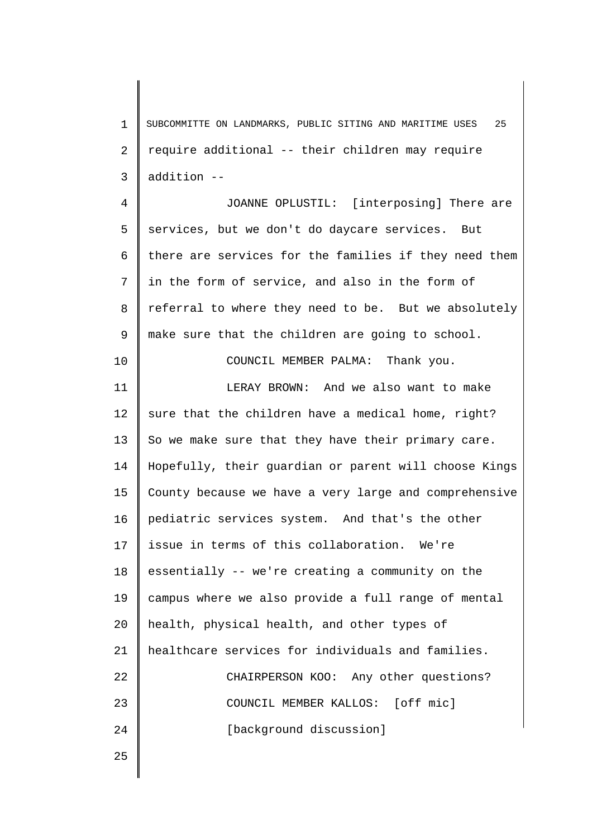1 2 3 SUBCOMMITTE ON LANDMARKS, PUBLIC SITING AND MARITIME USES 25 require additional -- their children may require addition --

4 5 6 7 8 9 JOANNE OPLUSTIL: [interposing] There are services, but we don't do daycare services. But there are services for the families if they need them in the form of service, and also in the form of referral to where they need to be. But we absolutely make sure that the children are going to school.

COUNCIL MEMBER PALMA: Thank you.

11 12 13 14 15 16 17 18 19 20 21 22 23 24 LERAY BROWN: And we also want to make sure that the children have a medical home, right? So we make sure that they have their primary care. Hopefully, their guardian or parent will choose Kings County because we have a very large and comprehensive pediatric services system. And that's the other issue in terms of this collaboration. We're essentially -- we're creating a community on the campus where we also provide a full range of mental health, physical health, and other types of healthcare services for individuals and families. CHAIRPERSON KOO: Any other questions? COUNCIL MEMBER KALLOS: [off mic] [background discussion]

25

10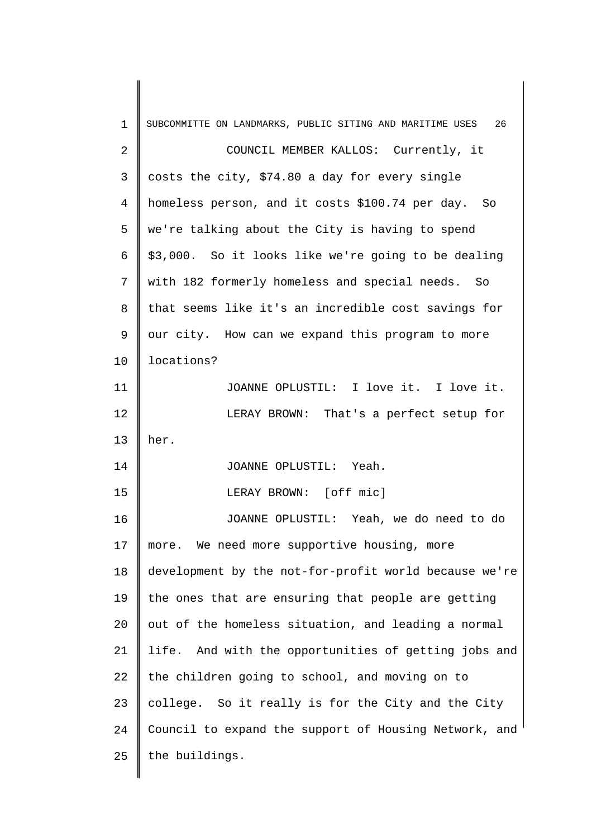| $\mathbf 1$ | SUBCOMMITTE ON LANDMARKS, PUBLIC SITING AND MARITIME USES<br>26 |
|-------------|-----------------------------------------------------------------|
| 2           | COUNCIL MEMBER KALLOS: Currently, it                            |
| 3           | costs the city, \$74.80 a day for every single                  |
| 4           | homeless person, and it costs \$100.74 per day. So              |
| 5           | we're talking about the City is having to spend                 |
| 6           | \$3,000. So it looks like we're going to be dealing             |
| 7           | with 182 formerly homeless and special needs. So                |
| 8           | that seems like it's an incredible cost savings for             |
| 9           | our city. How can we expand this program to more                |
| 10          | locations?                                                      |
| 11          | JOANNE OPLUSTIL: I love it. I love it.                          |
| 12          | LERAY BROWN: That's a perfect setup for                         |
| 13          | her.                                                            |
| 14          | JOANNE OPLUSTIL: Yeah.                                          |
| 15          | LERAY BROWN: [off mic]                                          |
| 16          | JOANNE OPLUSTIL: Yeah, we do need to do                         |
| 17          | We need more supportive housing, more<br>more.                  |
| 18          | development by the not-for-profit world because we're           |
| 19          | the ones that are ensuring that people are getting              |
| 20          | out of the homeless situation, and leading a normal             |
| 21          | life. And with the opportunities of getting jobs and            |
| 22          | the children going to school, and moving on to                  |
| 23          | college. So it really is for the City and the City              |
| 24          | Council to expand the support of Housing Network, and           |
| 25          | the buildings.                                                  |
|             |                                                                 |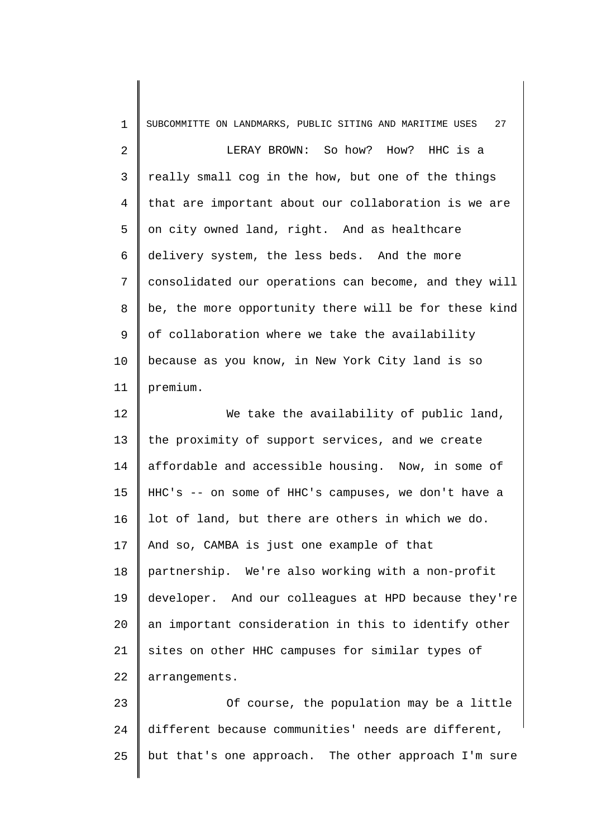| $\mathbf 1$    | SUBCOMMITTE ON LANDMARKS, PUBLIC SITING AND MARITIME USES<br>27 |
|----------------|-----------------------------------------------------------------|
| $\overline{a}$ | LERAY BROWN: So how? How? HHC is a                              |
| 3              | really small cog in the how, but one of the things              |
| 4              | that are important about our collaboration is we are            |
| 5              | on city owned land, right. And as healthcare                    |
| 6              | delivery system, the less beds. And the more                    |
| 7              | consolidated our operations can become, and they will           |
| 8              | be, the more opportunity there will be for these kind           |
| 9              | of collaboration where we take the availability                 |
| 10             | because as you know, in New York City land is so                |
| 11             | premium.                                                        |
| 12             | We take the availability of public land,                        |
| 13             | the proximity of support services, and we create                |
| 14             | affordable and accessible housing. Now, in some of              |
| 15             | HHC's -- on some of HHC's campuses, we don't have a             |
| 16             | lot of land, but there are others in which we do.               |
| 17             | And so, CAMBA is just one example of that                       |
| 18             | partnership. We're also working with a non-profit               |
| 19             | developer. And our colleagues at HPD because they're            |
| 20             | an important consideration in this to identify other            |
| 21             | sites on other HHC campuses for similar types of                |
| 22             | arrangements.                                                   |
| 23             | Of course, the population may be a little                       |
| 24             | different because communities' needs are different,             |
| 25             | but that's one approach. The other approach I'm sure            |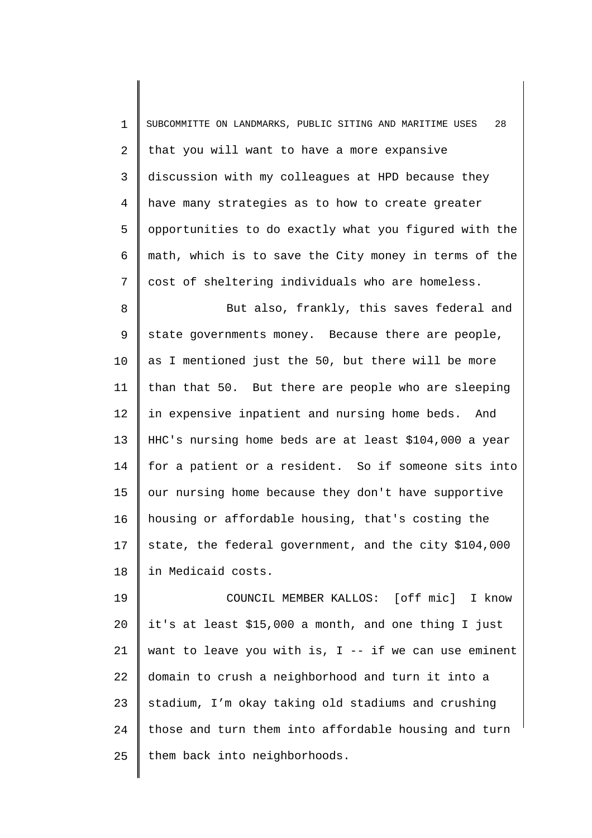1 2 3 4 5 6 7 SUBCOMMITTE ON LANDMARKS, PUBLIC SITING AND MARITIME USES 28 that you will want to have a more expansive discussion with my colleagues at HPD because they have many strategies as to how to create greater opportunities to do exactly what you figured with the math, which is to save the City money in terms of the cost of sheltering individuals who are homeless.

8 9 10 11 12 13 14 15 16 17 18 But also, frankly, this saves federal and state governments money. Because there are people, as I mentioned just the 50, but there will be more than that 50. But there are people who are sleeping in expensive inpatient and nursing home beds. And HHC's nursing home beds are at least \$104,000 a year for a patient or a resident. So if someone sits into our nursing home because they don't have supportive housing or affordable housing, that's costing the state, the federal government, and the city \$104,000 in Medicaid costs.

19 20 21 22 23 24 25 COUNCIL MEMBER KALLOS: [off mic] I know it's at least \$15,000 a month, and one thing I just want to leave you with is,  $I -$  if we can use eminent domain to crush a neighborhood and turn it into a stadium, I'm okay taking old stadiums and crushing those and turn them into affordable housing and turn them back into neighborhoods.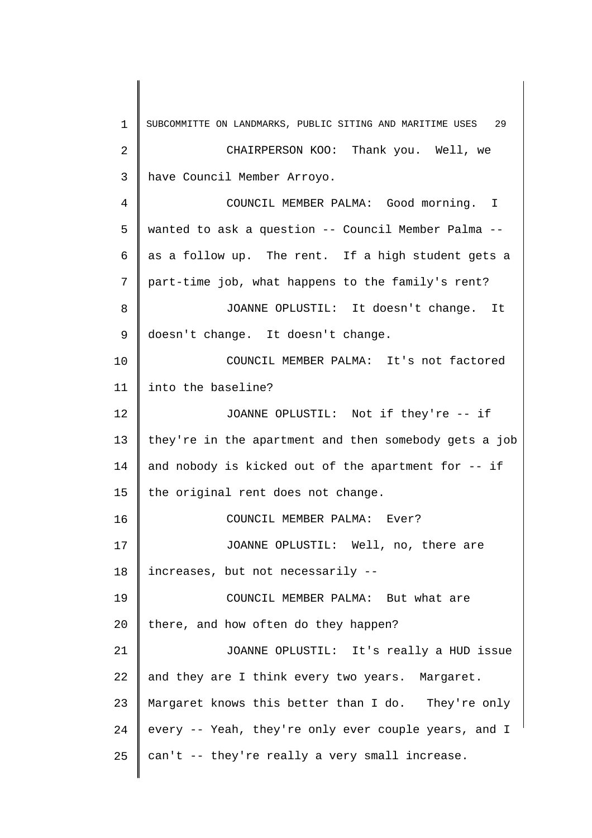1 2 3 4 5 6 7 8 9 10 11 12 13 14 15 16 17 18 19 20 21 22 23 24 25 SUBCOMMITTE ON LANDMARKS, PUBLIC SITING AND MARITIME USES 29 CHAIRPERSON KOO: Thank you. Well, we have Council Member Arroyo. COUNCIL MEMBER PALMA: Good morning. I wanted to ask a question -- Council Member Palma - as a follow up. The rent. If a high student gets a part-time job, what happens to the family's rent? JOANNE OPLUSTIL: It doesn't change. It doesn't change. It doesn't change. COUNCIL MEMBER PALMA: It's not factored into the baseline? JOANNE OPLUSTIL: Not if they're -- if they're in the apartment and then somebody gets a job and nobody is kicked out of the apartment for -- if the original rent does not change. COUNCIL MEMBER PALMA: Ever? JOANNE OPLUSTIL: Well, no, there are increases, but not necessarily -- COUNCIL MEMBER PALMA: But what are there, and how often do they happen? JOANNE OPLUSTIL: It's really a HUD issue and they are I think every two years. Margaret. Margaret knows this better than I do. They're only every -- Yeah, they're only ever couple years, and I can't -- they're really a very small increase.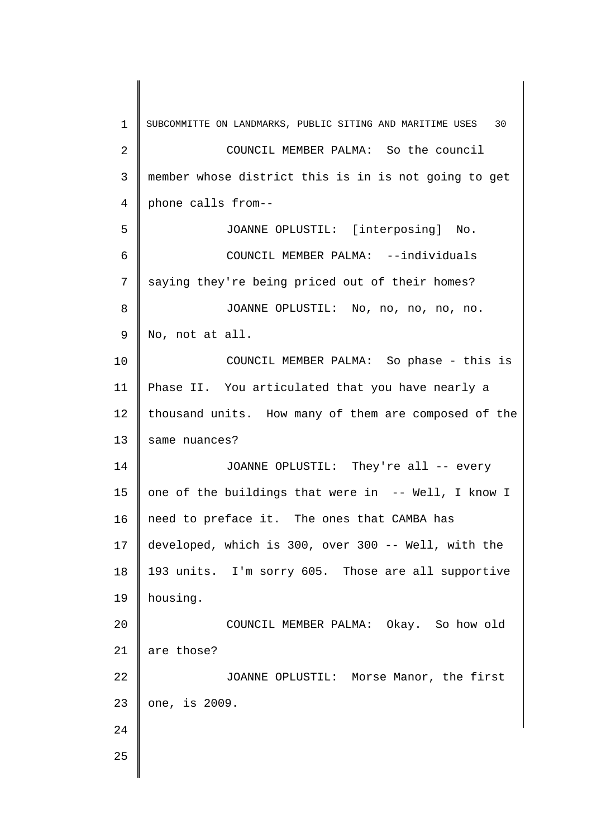1 2 3 4 5 6 7 8 9 10 11 12 13 14 15 16 17 18 19 20 21 22 23 24 25 SUBCOMMITTE ON LANDMARKS, PUBLIC SITING AND MARITIME USES 30 COUNCIL MEMBER PALMA: So the council member whose district this is in is not going to get phone calls from-- JOANNE OPLUSTIL: [interposing] No. COUNCIL MEMBER PALMA: --individuals saying they're being priced out of their homes? JOANNE OPLUSTIL: No, no, no, no, no. No, not at all. COUNCIL MEMBER PALMA: So phase - this is Phase II. You articulated that you have nearly a thousand units. How many of them are composed of the same nuances? JOANNE OPLUSTIL: They're all -- every one of the buildings that were in -- Well, I know I need to preface it. The ones that CAMBA has developed, which is 300, over 300 -- Well, with the 193 units. I'm sorry 605. Those are all supportive housing. COUNCIL MEMBER PALMA: Okay. So how old are those? JOANNE OPLUSTIL: Morse Manor, the first one, is 2009.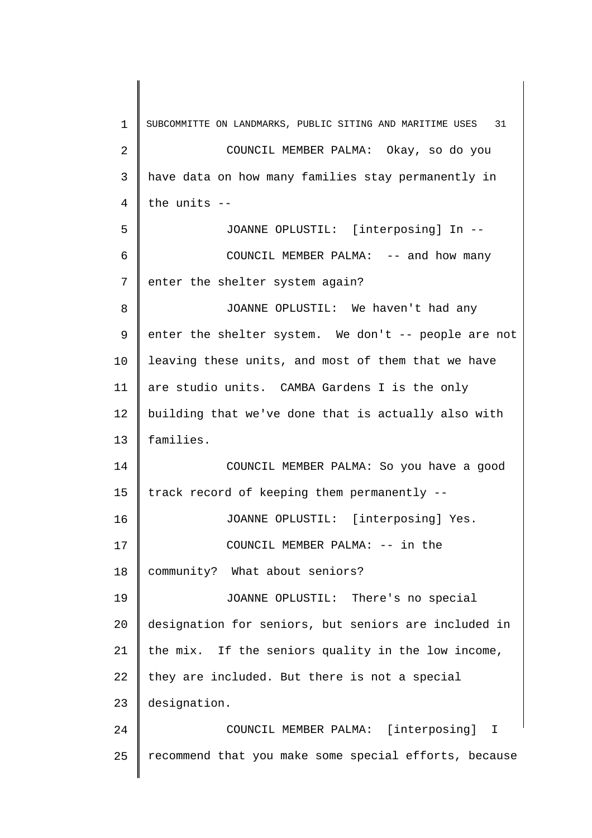1 2 3 4 5 6 7 8 9 10 11 12 13 14 15 16 17 18 19 20 21 22 23 24 25 SUBCOMMITTE ON LANDMARKS, PUBLIC SITING AND MARITIME USES 31 COUNCIL MEMBER PALMA: Okay, so do you have data on how many families stay permanently in the units -- JOANNE OPLUSTIL: [interposing] In -- COUNCIL MEMBER PALMA: -- and how many enter the shelter system again? JOANNE OPLUSTIL: We haven't had any enter the shelter system. We don't -- people are not leaving these units, and most of them that we have are studio units. CAMBA Gardens I is the only building that we've done that is actually also with families. COUNCIL MEMBER PALMA: So you have a good track record of keeping them permanently -- JOANNE OPLUSTIL: [interposing] Yes. COUNCIL MEMBER PALMA: -- in the community? What about seniors? JOANNE OPLUSTIL: There's no special designation for seniors, but seniors are included in the mix. If the seniors quality in the low income, they are included. But there is not a special designation. COUNCIL MEMBER PALMA: [interposing] I recommend that you make some special efforts, because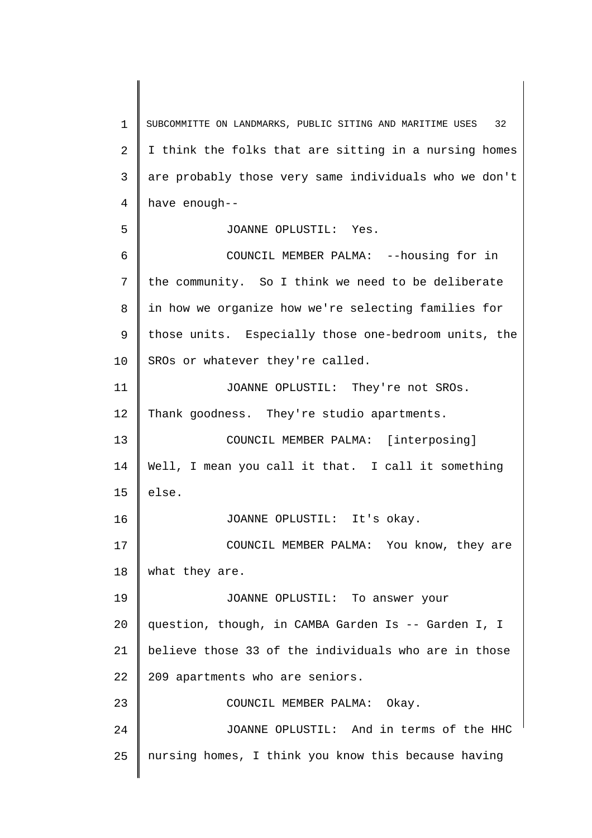1 2 3 4 5 6 7 8 9 10 11 12 13 14 15 16 17 18 19 20 21 22 23 24 25 SUBCOMMITTE ON LANDMARKS, PUBLIC SITING AND MARITIME USES 32 I think the folks that are sitting in a nursing homes are probably those very same individuals who we don't have enough-- JOANNE OPLUSTIL: Yes. COUNCIL MEMBER PALMA: --housing for in the community. So I think we need to be deliberate in how we organize how we're selecting families for those units. Especially those one-bedroom units, the SROs or whatever they're called. JOANNE OPLUSTIL: They're not SROs. Thank goodness. They're studio apartments. COUNCIL MEMBER PALMA: [interposing] Well, I mean you call it that. I call it something else. JOANNE OPLUSTIL: It's okay. COUNCIL MEMBER PALMA: You know, they are what they are. JOANNE OPLUSTIL: To answer your question, though, in CAMBA Garden Is -- Garden I, I believe those 33 of the individuals who are in those 209 apartments who are seniors. COUNCIL MEMBER PALMA: Okay. JOANNE OPLUSTIL: And in terms of the HHC nursing homes, I think you know this because having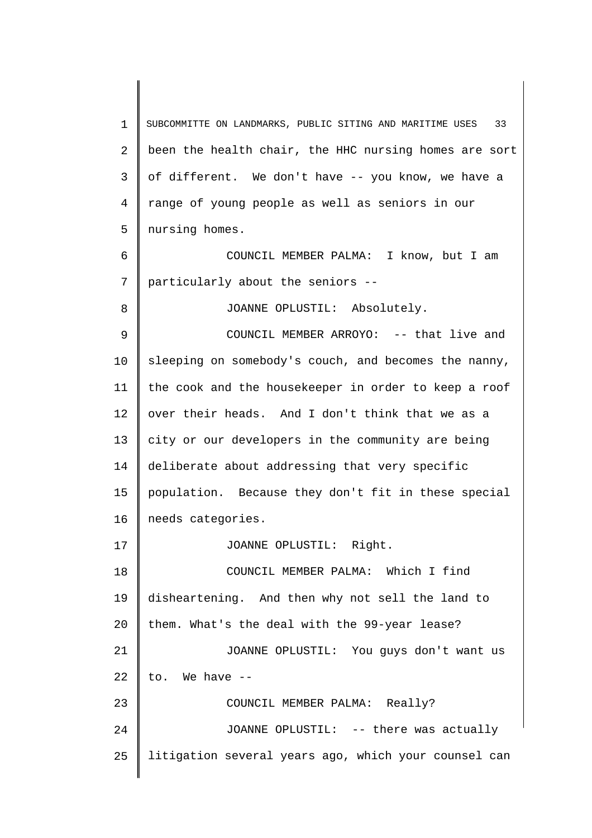1 2 3 4 5 6 7 8 9 10 11 12 13 14 15 16 17 18 19 20 21 22 23 24 25 SUBCOMMITTE ON LANDMARKS, PUBLIC SITING AND MARITIME USES 33 been the health chair, the HHC nursing homes are sort of different. We don't have -- you know, we have a range of young people as well as seniors in our nursing homes. COUNCIL MEMBER PALMA: I know, but I am particularly about the seniors -- JOANNE OPLUSTIL: Absolutely. COUNCIL MEMBER ARROYO: -- that live and sleeping on somebody's couch, and becomes the nanny, the cook and the housekeeper in order to keep a roof over their heads. And I don't think that we as a city or our developers in the community are being deliberate about addressing that very specific population. Because they don't fit in these special needs categories. JOANNE OPLUSTIL: Right. COUNCIL MEMBER PALMA: Which I find disheartening. And then why not sell the land to them. What's the deal with the 99-year lease? JOANNE OPLUSTIL: You guys don't want us to. We have -- COUNCIL MEMBER PALMA: Really? JOANNE OPLUSTIL: -- there was actually litigation several years ago, which your counsel can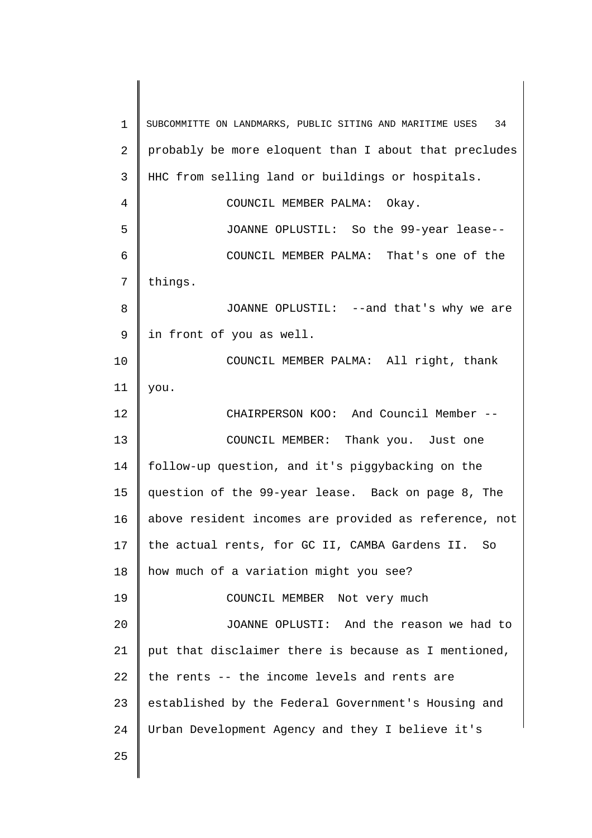1 2 3 4 5 6 7 8 9 10 11 12 13 14 15 16 17 18 19 20 21 22 23 24 25 SUBCOMMITTE ON LANDMARKS, PUBLIC SITING AND MARITIME USES 34 probably be more eloquent than I about that precludes HHC from selling land or buildings or hospitals. COUNCIL MEMBER PALMA: Okay. JOANNE OPLUSTIL: So the 99-year lease-- COUNCIL MEMBER PALMA: That's one of the things. JOANNE OPLUSTIL: --and that's why we are in front of you as well. COUNCIL MEMBER PALMA: All right, thank you. CHAIRPERSON KOO: And Council Member -- COUNCIL MEMBER: Thank you. Just one follow-up question, and it's piggybacking on the question of the 99-year lease. Back on page 8, The above resident incomes are provided as reference, not the actual rents, for GC II, CAMBA Gardens II. So how much of a variation might you see? COUNCIL MEMBER Not very much JOANNE OPLUSTI: And the reason we had to put that disclaimer there is because as I mentioned, the rents -- the income levels and rents are established by the Federal Government's Housing and Urban Development Agency and they I believe it's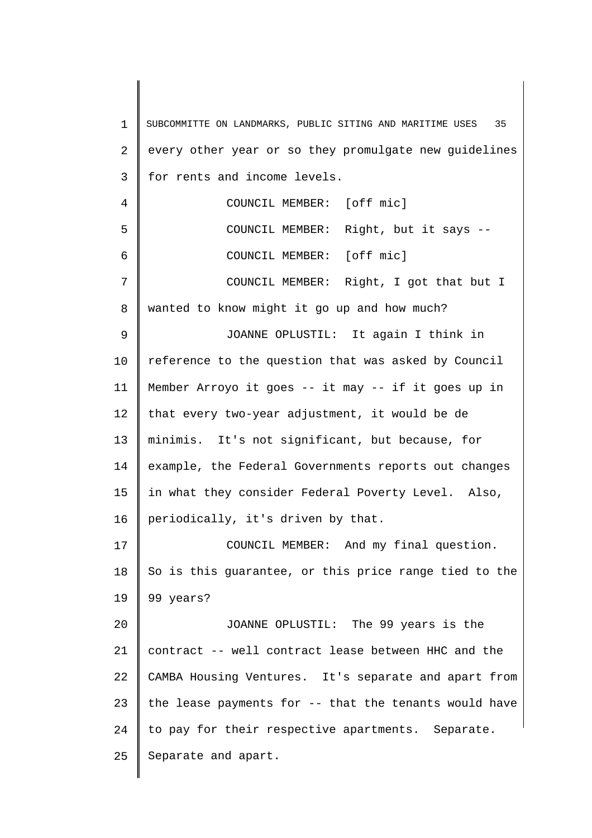| $\mathbf 1$ | SUBCOMMITTE ON LANDMARKS, PUBLIC SITING AND MARITIME USES<br>35 |
|-------------|-----------------------------------------------------------------|
| 2           | every other year or so they promulgate new guidelines           |
| 3           | for rents and income levels.                                    |
| 4           | COUNCIL MEMBER: [off mic]                                       |
| 5           | COUNCIL MEMBER: Right, but it says --                           |
| 6           | COUNCIL MEMBER: [off mic]                                       |
| 7           | COUNCIL MEMBER: Right, I got that but I                         |
| 8           | wanted to know might it go up and how much?                     |
| 9           | JOANNE OPLUSTIL: It again I think in                            |
| 10          | reference to the question that was asked by Council             |
| 11          | Member Arroyo it goes -- it may -- if it goes up in             |
| 12          | that every two-year adjustment, it would be de                  |
| 13          | minimis. It's not significant, but because, for                 |
| 14          | example, the Federal Governments reports out changes            |
| 15          | in what they consider Federal Poverty Level. Also,              |
| 16          | periodically, it's driven by that.                              |
| 17          | COUNCIL MEMBER: And my final question.                          |
| 18          | So is this guarantee, or this price range tied to the           |
| 19          | 99 years?                                                       |
| 20          | JOANNE OPLUSTIL: The 99 years is the                            |
| 21          | contract -- well contract lease between HHC and the             |
| 22          | CAMBA Housing Ventures. It's separate and apart from            |
| 23          | the lease payments for -- that the tenants would have           |
| 24          | to pay for their respective apartments. Separate.               |
| 25          | Separate and apart.                                             |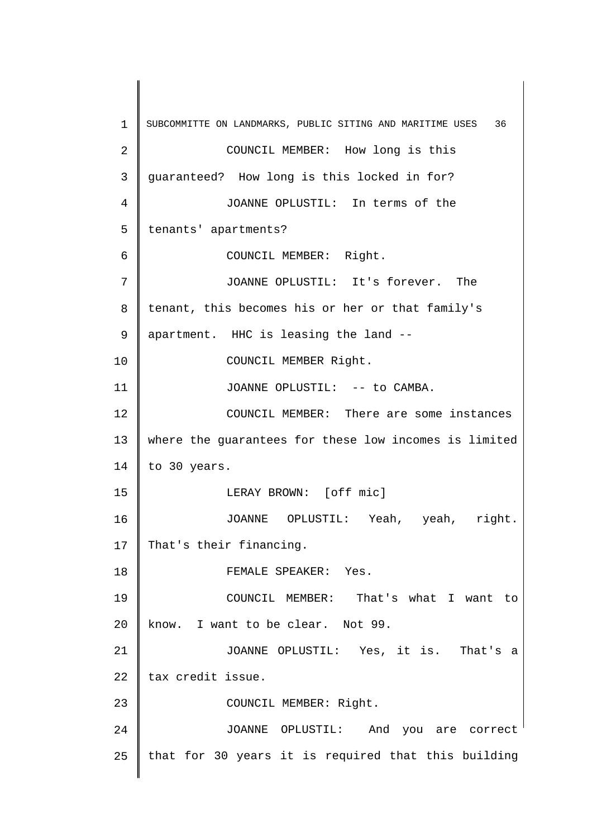1 2 3 4 5 6 7 8 9 10 11 12 13 14 15 16 17 18 19 20 21 22 23 24 25 SUBCOMMITTE ON LANDMARKS, PUBLIC SITING AND MARITIME USES 36 COUNCIL MEMBER: How long is this guaranteed? How long is this locked in for? JOANNE OPLUSTIL: In terms of the tenants' apartments? COUNCIL MEMBER: Right. JOANNE OPLUSTIL: It's forever. The tenant, this becomes his or her or that family's apartment. HHC is leasing the land -- COUNCIL MEMBER Right. JOANNE OPLUSTIL: -- to CAMBA. COUNCIL MEMBER: There are some instances where the guarantees for these low incomes is limited to 30 years. LERAY BROWN: [off mic] JOANNE OPLUSTIL: Yeah, yeah, right. That's their financing. FEMALE SPEAKER: Yes. COUNCIL MEMBER: That's what I want to know. I want to be clear. Not 99. JOANNE OPLUSTIL: Yes, it is. That's a tax credit issue. COUNCIL MEMBER: Right. JOANNE OPLUSTIL: And you are correct that for 30 years it is required that this building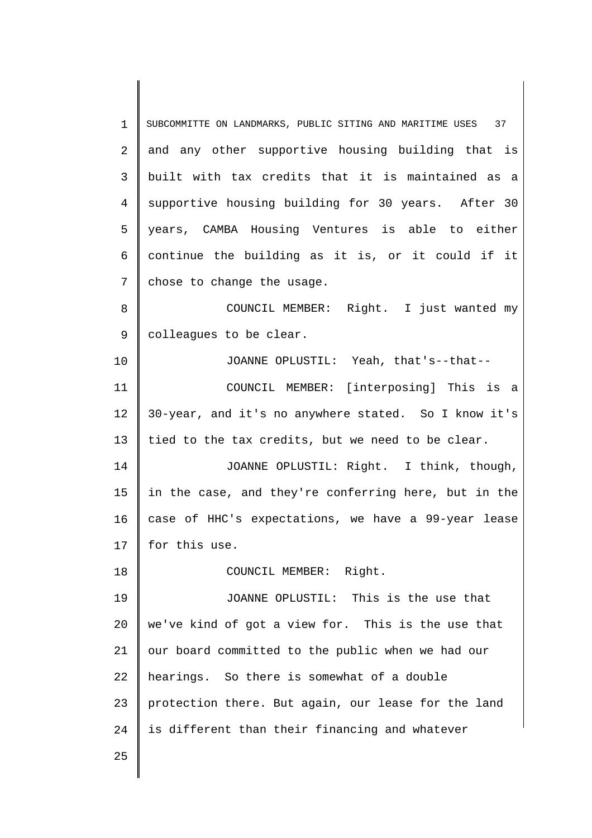1 2 3 4 5 6 7 8 9 10 11 12 13 14 15 16 17 18 19 20 21 22 23 24 25 SUBCOMMITTE ON LANDMARKS, PUBLIC SITING AND MARITIME USES 37 and any other supportive housing building that is built with tax credits that it is maintained as a supportive housing building for 30 years. After 30 years, CAMBA Housing Ventures is able to either continue the building as it is, or it could if it chose to change the usage. COUNCIL MEMBER: Right. I just wanted my colleagues to be clear. JOANNE OPLUSTIL: Yeah, that's--that-- COUNCIL MEMBER: [interposing] This is a 30-year, and it's no anywhere stated. So I know it's tied to the tax credits, but we need to be clear. JOANNE OPLUSTIL: Right. I think, though, in the case, and they're conferring here, but in the case of HHC's expectations, we have a 99-year lease for this use. COUNCIL MEMBER: Right. JOANNE OPLUSTIL: This is the use that we've kind of got a view for. This is the use that our board committed to the public when we had our hearings. So there is somewhat of a double protection there. But again, our lease for the land is different than their financing and whatever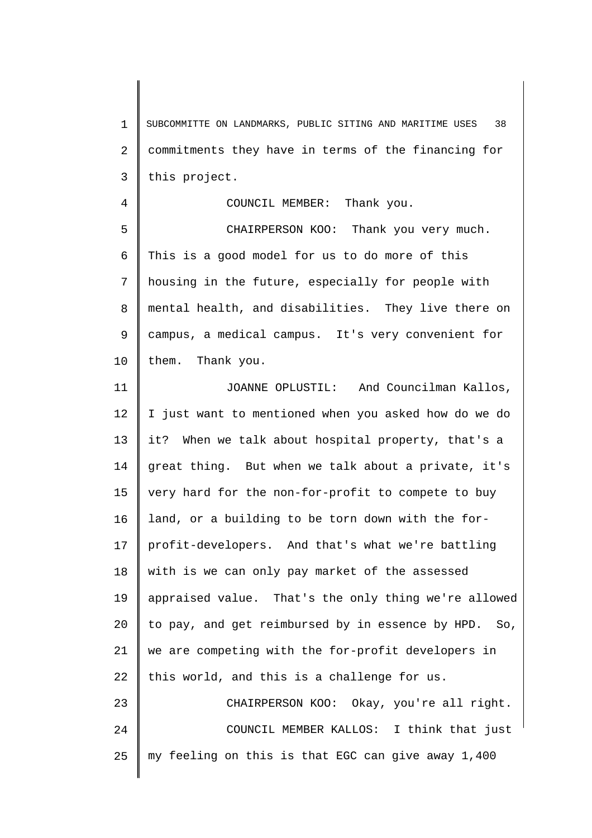1 2 3 SUBCOMMITTE ON LANDMARKS, PUBLIC SITING AND MARITIME USES 38 commitments they have in terms of the financing for this project.

COUNCIL MEMBER: Thank you.

4

25

5 6 7 8 9 10 CHAIRPERSON KOO: Thank you very much. This is a good model for us to do more of this housing in the future, especially for people with mental health, and disabilities. They live there on campus, a medical campus. It's very convenient for them. Thank you.

11 12 13 14 15 16 17 18 19 20 21 22 23 24 JOANNE OPLUSTIL: And Councilman Kallos, I just want to mentioned when you asked how do we do it? When we talk about hospital property, that's a great thing. But when we talk about a private, it's very hard for the non-for-profit to compete to buy land, or a building to be torn down with the forprofit-developers. And that's what we're battling with is we can only pay market of the assessed appraised value. That's the only thing we're allowed to pay, and get reimbursed by in essence by HPD. So, we are competing with the for-profit developers in this world, and this is a challenge for us. CHAIRPERSON KOO: Okay, you're all right. COUNCIL MEMBER KALLOS: I think that just

my feeling on this is that EGC can give away 1,400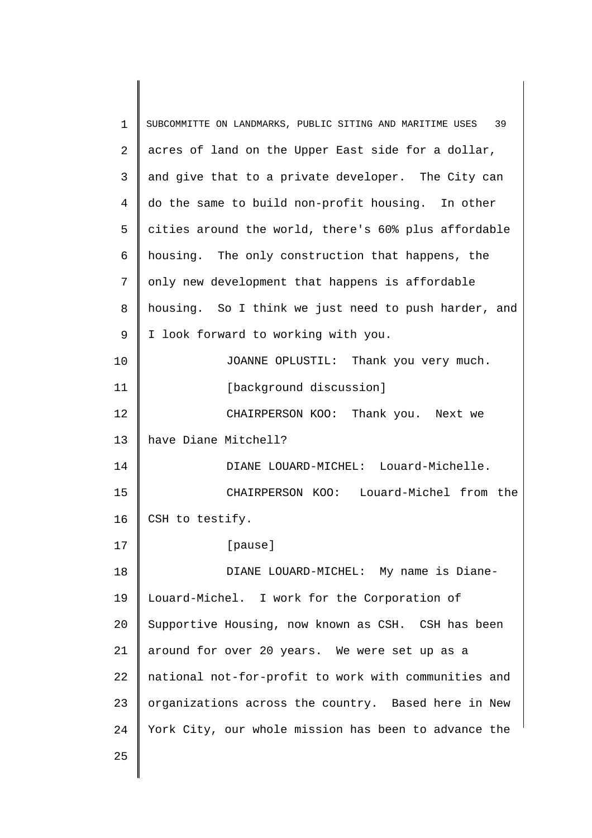| $\mathbf 1$ | SUBCOMMITTE ON LANDMARKS, PUBLIC SITING AND MARITIME USES 39 |
|-------------|--------------------------------------------------------------|
| 2           | acres of land on the Upper East side for a dollar,           |
| 3           | and give that to a private developer. The City can           |
| 4           | do the same to build non-profit housing. In other            |
| 5           | cities around the world, there's 60% plus affordable         |
| 6           | housing. The only construction that happens, the             |
| 7           | only new development that happens is affordable              |
| 8           | housing. So I think we just need to push harder, and         |
| 9           | I look forward to working with you.                          |
| 10          | JOANNE OPLUSTIL: Thank you very much.                        |
| 11          | [background discussion]                                      |
| 12          | CHAIRPERSON KOO: Thank you. Next we                          |
| 13          | have Diane Mitchell?                                         |
| 14          | DIANE LOUARD-MICHEL: Louard-Michelle.                        |
| 15          | CHAIRPERSON KOO: Louard-Michel from the                      |
| 16          | CSH to testify.                                              |
| 17          | [pause]                                                      |
| 18          | DIANE LOUARD-MICHEL: My name is Diane-                       |
| 19          | Louard-Michel. I work for the Corporation of                 |
| 20          | Supportive Housing, now known as CSH. CSH has been           |
| 21          | around for over 20 years. We were set up as a                |
| 22          | national not-for-profit to work with communities and         |
| 23          | organizations across the country. Based here in New          |
| 24          | York City, our whole mission has been to advance the         |
| 25          |                                                              |
|             |                                                              |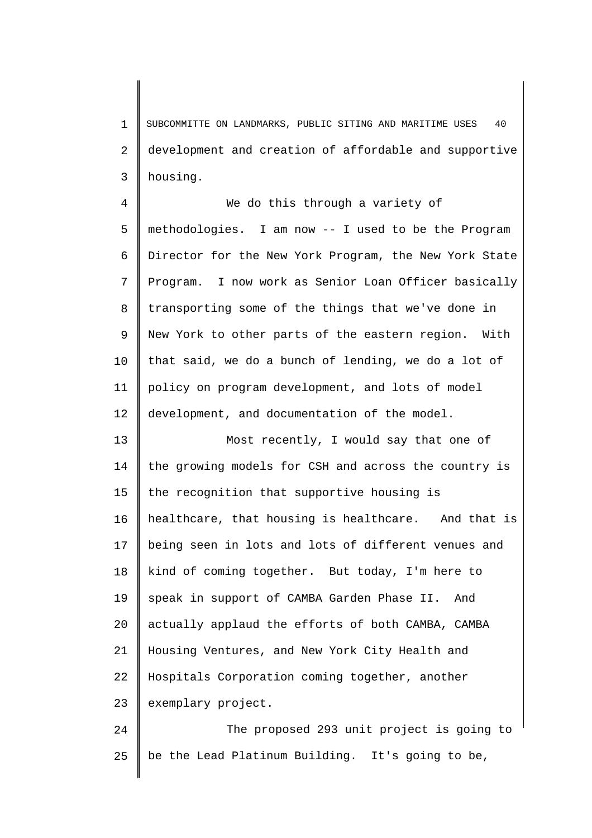1 2 3 SUBCOMMITTE ON LANDMARKS, PUBLIC SITING AND MARITIME USES 40 development and creation of affordable and supportive housing.

4 5 6 7 8 9 10 11 12 We do this through a variety of methodologies. I am now -- I used to be the Program Director for the New York Program, the New York State Program. I now work as Senior Loan Officer basically transporting some of the things that we've done in New York to other parts of the eastern region. With that said, we do a bunch of lending, we do a lot of policy on program development, and lots of model development, and documentation of the model.

13 14 15 16 17 18 19 20 21 22 23 Most recently, I would say that one of the growing models for CSH and across the country is the recognition that supportive housing is healthcare, that housing is healthcare. And that is being seen in lots and lots of different venues and kind of coming together. But today, I'm here to speak in support of CAMBA Garden Phase II. And actually applaud the efforts of both CAMBA, CAMBA Housing Ventures, and New York City Health and Hospitals Corporation coming together, another exemplary project.

24 25 The proposed 293 unit project is going to be the Lead Platinum Building. It's going to be,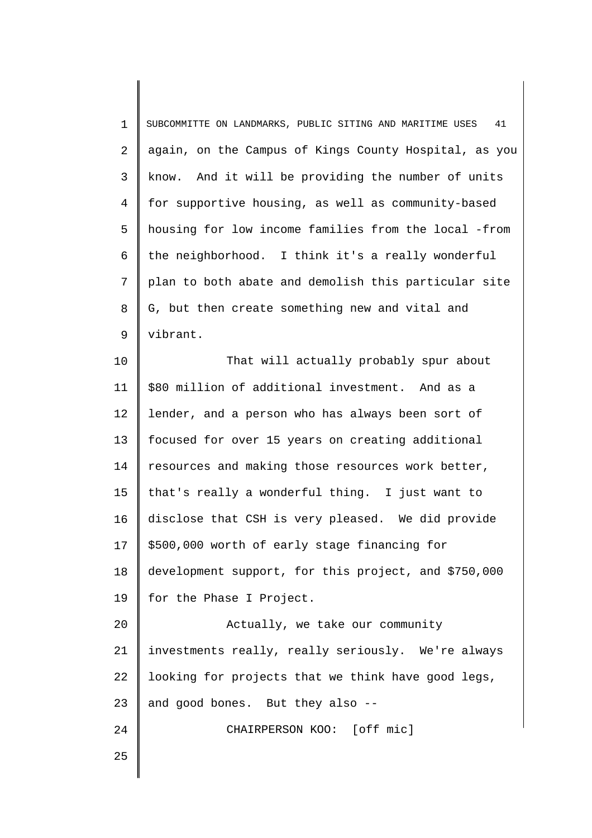1 2 3 4 5 6 7 8 9 SUBCOMMITTE ON LANDMARKS, PUBLIC SITING AND MARITIME USES 41 again, on the Campus of Kings County Hospital, as you know. And it will be providing the number of units for supportive housing, as well as community-based housing for low income families from the local -from the neighborhood. I think it's a really wonderful plan to both abate and demolish this particular site G, but then create something new and vital and vibrant.

10 11 12 13 14 15 16 17 18 19 That will actually probably spur about \$80 million of additional investment. And as a lender, and a person who has always been sort of focused for over 15 years on creating additional resources and making those resources work better, that's really a wonderful thing. I just want to disclose that CSH is very pleased. We did provide \$500,000 worth of early stage financing for development support, for this project, and \$750,000 for the Phase I Project.

20 21 22 23 Actually, we take our community investments really, really seriously. We're always looking for projects that we think have good legs, and good bones. But they also --

CHAIRPERSON KOO: [off mic]

25

24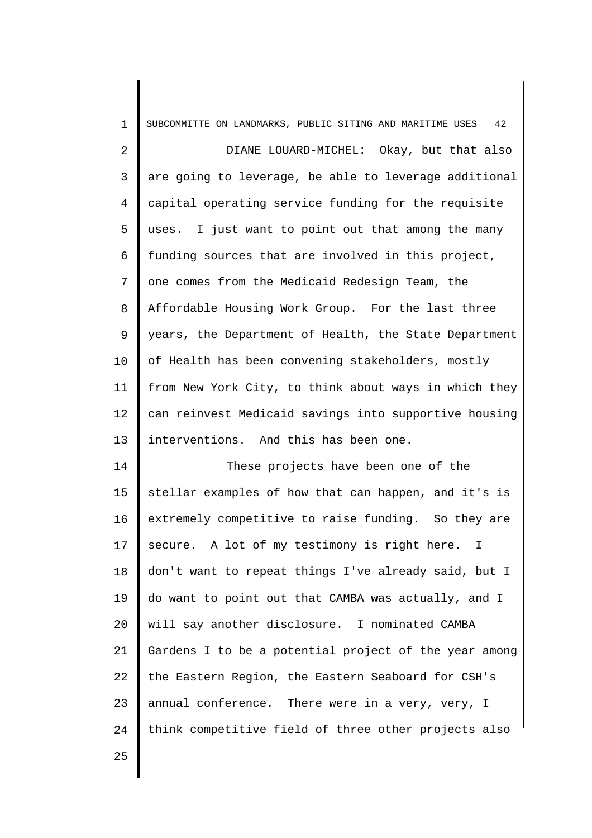| $\mathbf{1}$                                                         | 42<br>SUBCOMMITTE ON LANDMARKS, PUBLIC SITING AND MARITIME USES |
|----------------------------------------------------------------------|-----------------------------------------------------------------|
| 2                                                                    | DIANE LOUARD-MICHEL: Okay, but that also                        |
| 3                                                                    | are going to leverage, be able to leverage additional           |
| 4                                                                    | capital operating service funding for the requisite             |
| 5                                                                    | uses. I just want to point out that among the many              |
| 6                                                                    | funding sources that are involved in this project,              |
| 7                                                                    | one comes from the Medicaid Redesign Team, the                  |
| 8                                                                    | Affordable Housing Work Group. For the last three               |
| 9                                                                    | years, the Department of Health, the State Department           |
| 10                                                                   | of Health has been convening stakeholders, mostly               |
| 11                                                                   | from New York City, to think about ways in which they           |
| 12                                                                   | can reinvest Medicaid savings into supportive housing           |
|                                                                      |                                                                 |
|                                                                      | interventions. And this has been one.                           |
|                                                                      | These projects have been one of the                             |
|                                                                      | stellar examples of how that can happen, and it's is            |
|                                                                      | extremely competitive to raise funding. So they are             |
|                                                                      | secure. A lot of my testimony is right here. I                  |
|                                                                      | don't want to repeat things I've already said, but I            |
|                                                                      | do want to point out that CAMBA was actually, and I             |
|                                                                      | will say another disclosure. I nominated CAMBA                  |
|                                                                      | Gardens I to be a potential project of the year among           |
|                                                                      | the Eastern Region, the Eastern Seaboard for CSH's              |
|                                                                      | annual conference. There were in a very, very, I                |
| 13<br>14<br>15<br>16<br>17<br>18<br>19<br>20<br>21<br>22<br>23<br>24 | think competitive field of three other projects also            |
| 25                                                                   |                                                                 |

25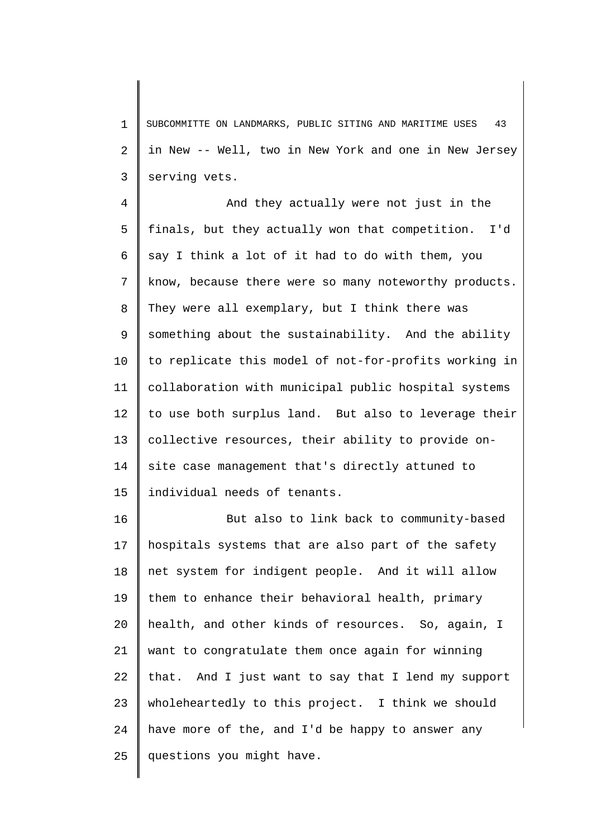1 2 3 SUBCOMMITTE ON LANDMARKS, PUBLIC SITING AND MARITIME USES 43 in New -- Well, two in New York and one in New Jersey serving vets.

4 5 6 7 8 9 10 11 12 13 14 15 And they actually were not just in the finals, but they actually won that competition. I'd say I think a lot of it had to do with them, you know, because there were so many noteworthy products. They were all exemplary, but I think there was something about the sustainability. And the ability to replicate this model of not-for-profits working in collaboration with municipal public hospital systems to use both surplus land. But also to leverage their collective resources, their ability to provide onsite case management that's directly attuned to individual needs of tenants.

16 17 18 19 20 21 22 23 24 25 But also to link back to community-based hospitals systems that are also part of the safety net system for indigent people. And it will allow them to enhance their behavioral health, primary health, and other kinds of resources. So, again, I want to congratulate them once again for winning that. And I just want to say that I lend my support wholeheartedly to this project. I think we should have more of the, and I'd be happy to answer any questions you might have.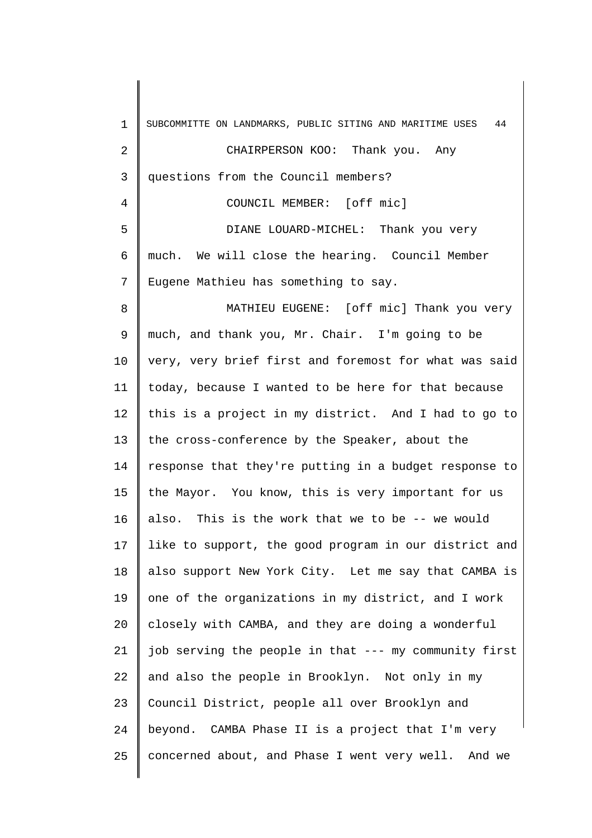| $\mathbf 1$    | SUBCOMMITTE ON LANDMARKS, PUBLIC SITING AND MARITIME USES<br>44 |
|----------------|-----------------------------------------------------------------|
| $\overline{2}$ | CHAIRPERSON KOO: Thank you. Any                                 |
| 3              | questions from the Council members?                             |
| 4              | COUNCIL MEMBER: [off mic]                                       |
| 5              | DIANE LOUARD-MICHEL: Thank you very                             |
| 6              | much. We will close the hearing. Council Member                 |
| 7              | Eugene Mathieu has something to say.                            |
| 8              | MATHIEU EUGENE: [off mic] Thank you very                        |
| 9              | much, and thank you, Mr. Chair. I'm going to be                 |
| 10             | very, very brief first and foremost for what was said           |
| 11             | today, because I wanted to be here for that because             |
| 12             | this is a project in my district. And I had to go to            |
| 13             | the cross-conference by the Speaker, about the                  |
| 14             | response that they're putting in a budget response to           |
| 15             | the Mayor. You know, this is very important for us              |
| 16             | also. This is the work that we to be -- we would                |
| 17             | like to support, the good program in our district and           |
| 18             | also support New York City. Let me say that CAMBA is            |
| 19             | one of the organizations in my district, and I work             |
| 20             | closely with CAMBA, and they are doing a wonderful              |
| 21             | job serving the people in that --- my community first           |
| 22             | and also the people in Brooklyn. Not only in my                 |
| 23             | Council District, people all over Brooklyn and                  |
| 24             | beyond. CAMBA Phase II is a project that I'm very               |
| 25             | concerned about, and Phase I went very well. And we             |
|                |                                                                 |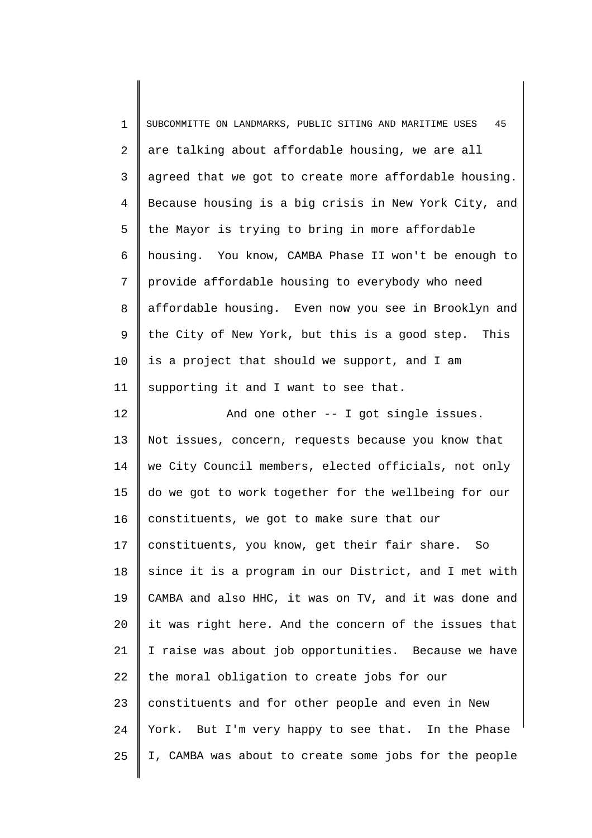1 2 3 4 5 6 7 8 9 10 11 12 13 14 15 16 17 18 19 20 21 22 23 24 25 SUBCOMMITTE ON LANDMARKS, PUBLIC SITING AND MARITIME USES 45 are talking about affordable housing, we are all agreed that we got to create more affordable housing. Because housing is a big crisis in New York City, and the Mayor is trying to bring in more affordable housing. You know, CAMBA Phase II won't be enough to provide affordable housing to everybody who need affordable housing. Even now you see in Brooklyn and the City of New York, but this is a good step. This is a project that should we support, and I am supporting it and I want to see that. And one other -- I got single issues. Not issues, concern, requests because you know that we City Council members, elected officials, not only do we got to work together for the wellbeing for our constituents, we got to make sure that our constituents, you know, get their fair share. So since it is a program in our District, and I met with CAMBA and also HHC, it was on TV, and it was done and it was right here. And the concern of the issues that I raise was about job opportunities. Because we have the moral obligation to create jobs for our constituents and for other people and even in New York. But I'm very happy to see that. In the Phase I, CAMBA was about to create some jobs for the people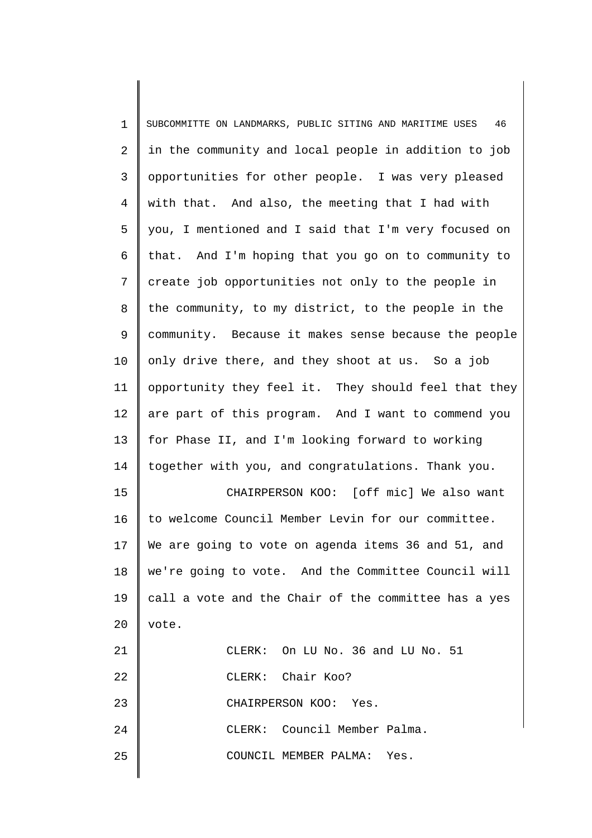| $\mathbf 1$ | SUBCOMMITTE ON LANDMARKS, PUBLIC SITING AND MARITIME USES<br>46 |
|-------------|-----------------------------------------------------------------|
| 2           | in the community and local people in addition to job            |
| 3           | opportunities for other people. I was very pleased              |
| 4           | with that. And also, the meeting that I had with                |
| 5           | you, I mentioned and I said that I'm very focused on            |
| 6           | that. And I'm hoping that you go on to community to             |
| 7           | create job opportunities not only to the people in              |
| 8           | the community, to my district, to the people in the             |
| 9           | community. Because it makes sense because the people            |
| 10          | only drive there, and they shoot at us. So a job                |
| 11          | opportunity they feel it. They should feel that they            |
| 12          | are part of this program. And I want to commend you             |
| 13          | for Phase II, and I'm looking forward to working                |
| 14          | together with you, and congratulations. Thank you.              |
| 15          | CHAIRPERSON KOO: [off mic] We also want                         |
| 16          | to welcome Council Member Levin for our committee.              |
| 17          | We are going to vote on agenda items 36 and 51, and             |
| 18          | we're going to vote. And the Committee Council will             |
| 19          | call a vote and the Chair of the committee has a yes            |
| 20          | vote.                                                           |
| 21          | CLERK: On LU No. 36 and LU No. 51                               |
| 22          | CLERK: Chair Koo?                                               |
| 23          | CHAIRPERSON KOO: Yes.                                           |
| 24          | CLERK: Council Member Palma.                                    |
| 25          | COUNCIL MEMBER PALMA: Yes.                                      |
|             |                                                                 |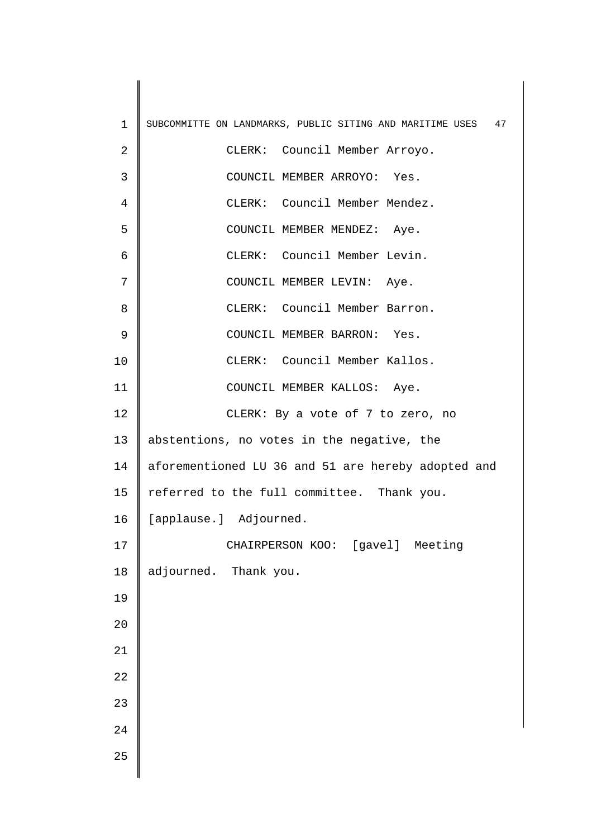| $\mathbf 1$    | SUBCOMMITTE ON LANDMARKS, PUBLIC SITING AND MARITIME USES<br>47 |
|----------------|-----------------------------------------------------------------|
| $\sqrt{2}$     | CLERK: Council Member Arroyo.                                   |
| 3              | COUNCIL MEMBER ARROYO: Yes.                                     |
| $\overline{4}$ | CLERK: Council Member Mendez.                                   |
| 5              | COUNCIL MEMBER MENDEZ: Aye.                                     |
| 6              | CLERK: Council Member Levin.                                    |
| 7              | COUNCIL MEMBER LEVIN: Aye.                                      |
| 8              | CLERK: Council Member Barron.                                   |
| $\mathsf 9$    | COUNCIL MEMBER BARRON: Yes.                                     |
| 10             | CLERK: Council Member Kallos.                                   |
| 11             | COUNCIL MEMBER KALLOS: Aye.                                     |
| 12             | CLERK: By a vote of 7 to zero, no                               |
| 13             | abstentions, no votes in the negative, the                      |
| 14             | aforementioned LU 36 and 51 are hereby adopted and              |
| 15             | referred to the full committee. Thank you.                      |
| 16             | [applause.] Adjourned.                                          |
| 17             | CHAIRPERSON KOO: [gavel] Meeting                                |
| 18             | adjourned. Thank you.                                           |
| 19             |                                                                 |
| 20             |                                                                 |
| 21             |                                                                 |
| 22             |                                                                 |
| 23             |                                                                 |
| 24             |                                                                 |
| 25             |                                                                 |